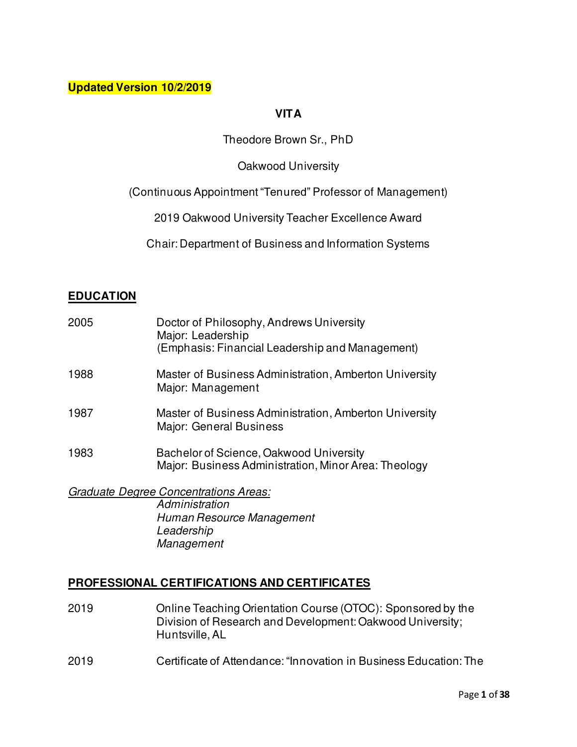# **Updated Version 10/2/2019**

# **VITA**

# Theodore Brown Sr., PhD

### Oakwood University

### (Continuous Appointment "Tenured" Professor of Management)

2019 Oakwood University Teacher Excellence Award

Chair: Department of Business and Information Systems

### **EDUCATION**

| 2005 | Doctor of Philosophy, Andrews University<br>Major: Leadership<br>(Emphasis: Financial Leadership and Management) |
|------|------------------------------------------------------------------------------------------------------------------|
| 1988 | Master of Business Administration, Amberton University<br>Major: Management                                      |
| 1987 | Master of Business Administration, Amberton University<br>Major: General Business                                |
| 1983 | Bachelor of Science, Oakwood University<br>Major: Business Administration, Minor Area: Theology                  |
|      | <b>Graduate Degree Concentrations Areas:</b><br>Administration                                                   |

 *Human Resource Management Leadership Management* 

# **PROFESSIONAL CERTIFICATIONS AND CERTIFICATES**

- 2019 Online Teaching Orientation Course (OTOC): Sponsored by the Division of Research and Development: Oakwood University; Huntsville, AL
- 2019 Certificate of Attendance: "Innovation in Business Education: The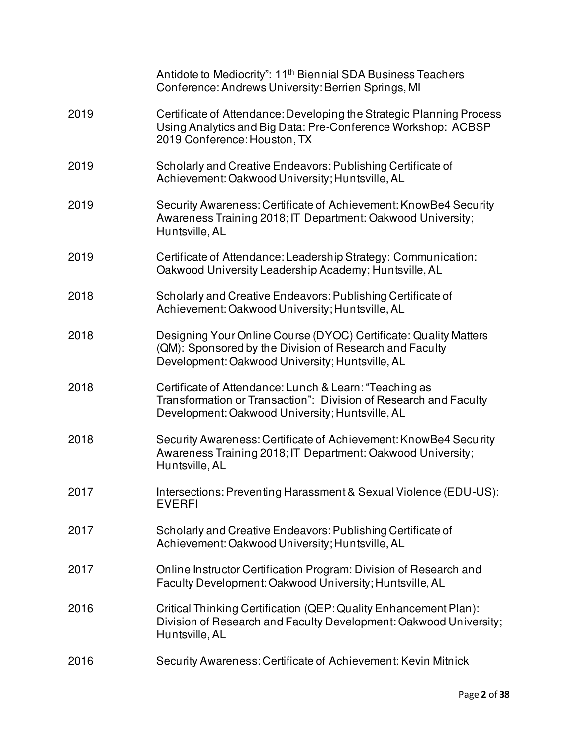|      | Antidote to Mediocrity": 11 <sup>th</sup> Biennial SDA Business Teachers<br>Conference: Andrews University: Berrien Springs, MI                                                |
|------|--------------------------------------------------------------------------------------------------------------------------------------------------------------------------------|
| 2019 | Certificate of Attendance: Developing the Strategic Planning Process<br>Using Analytics and Big Data: Pre-Conference Workshop: ACBSP<br>2019 Conference: Houston, TX           |
| 2019 | Scholarly and Creative Endeavors: Publishing Certificate of<br>Achievement: Oakwood University; Huntsville, AL                                                                 |
| 2019 | Security Awareness: Certificate of Achievement: KnowBe4 Security<br>Awareness Training 2018; IT Department: Oakwood University;<br>Huntsville, AL                              |
| 2019 | Certificate of Attendance: Leadership Strategy: Communication:<br>Oakwood University Leadership Academy; Huntsville, AL                                                        |
| 2018 | Scholarly and Creative Endeavors: Publishing Certificate of<br>Achievement: Oakwood University; Huntsville, AL                                                                 |
| 2018 | Designing Your Online Course (DYOC) Certificate: Quality Matters<br>(QM): Sponsored by the Division of Research and Faculty<br>Development: Oakwood University; Huntsville, AL |
| 2018 | Certificate of Attendance: Lunch & Learn: "Teaching as<br>Transformation or Transaction": Division of Research and Faculty<br>Development: Oakwood University; Huntsville, AL  |
| 2018 | Security Awareness: Certificate of Achievement: KnowBe4 Security<br>Awareness Training 2018; IT Department: Oakwood University;<br>Huntsville, AL                              |
| 2017 | Intersections: Preventing Harassment & Sexual Violence (EDU-US):<br><b>EVERFI</b>                                                                                              |
| 2017 | Scholarly and Creative Endeavors: Publishing Certificate of<br>Achievement: Oakwood University; Huntsville, AL                                                                 |
| 2017 | Online Instructor Certification Program: Division of Research and<br>Faculty Development: Oakwood University; Huntsville, AL                                                   |
| 2016 | Critical Thinking Certification (QEP: Quality Enhancement Plan):<br>Division of Research and Faculty Development: Oakwood University;<br>Huntsville, AL                        |
| 2016 | Security Awareness: Certificate of Achievement: Kevin Mitnick                                                                                                                  |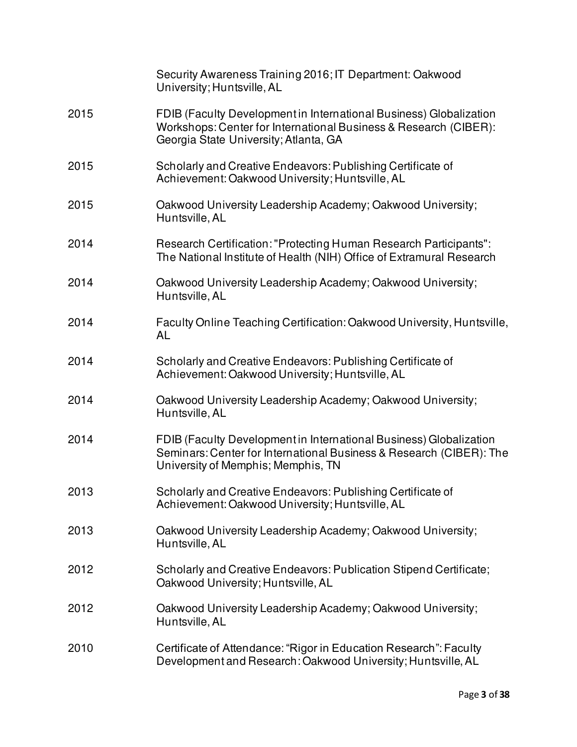|      | Security Awareness Training 2016; IT Department: Oakwood<br>University; Huntsville, AL                                                                                          |
|------|---------------------------------------------------------------------------------------------------------------------------------------------------------------------------------|
| 2015 | FDIB (Faculty Development in International Business) Globalization<br>Workshops: Center for International Business & Research (CIBER):<br>Georgia State University; Atlanta, GA |
| 2015 | Scholarly and Creative Endeavors: Publishing Certificate of<br>Achievement: Oakwood University; Huntsville, AL                                                                  |
| 2015 | Oakwood University Leadership Academy; Oakwood University;<br>Huntsville, AL                                                                                                    |
| 2014 | Research Certification: "Protecting Human Research Participants":<br>The National Institute of Health (NIH) Office of Extramural Research                                       |
| 2014 | Oakwood University Leadership Academy; Oakwood University;<br>Huntsville, AL                                                                                                    |
| 2014 | Faculty Online Teaching Certification: Oakwood University, Huntsville,<br>AL                                                                                                    |
| 2014 | Scholarly and Creative Endeavors: Publishing Certificate of<br>Achievement: Oakwood University; Huntsville, AL                                                                  |
| 2014 | Oakwood University Leadership Academy; Oakwood University;<br>Huntsville, AL                                                                                                    |
| 2014 | FDIB (Faculty Development in International Business) Globalization<br>Seminars: Center for International Business & Research (CIBER): The<br>University of Memphis; Memphis, TN |
| 2013 | Scholarly and Creative Endeavors: Publishing Certificate of<br>Achievement: Oakwood University; Huntsville, AL                                                                  |
| 2013 | Oakwood University Leadership Academy; Oakwood University;<br>Huntsville, AL                                                                                                    |
| 2012 | Scholarly and Creative Endeavors: Publication Stipend Certificate;<br>Oakwood University; Huntsville, AL                                                                        |
| 2012 | Oakwood University Leadership Academy; Oakwood University;<br>Huntsville, AL                                                                                                    |
| 2010 | Certificate of Attendance: "Rigor in Education Research": Faculty<br>Development and Research: Oakwood University; Huntsville, AL                                               |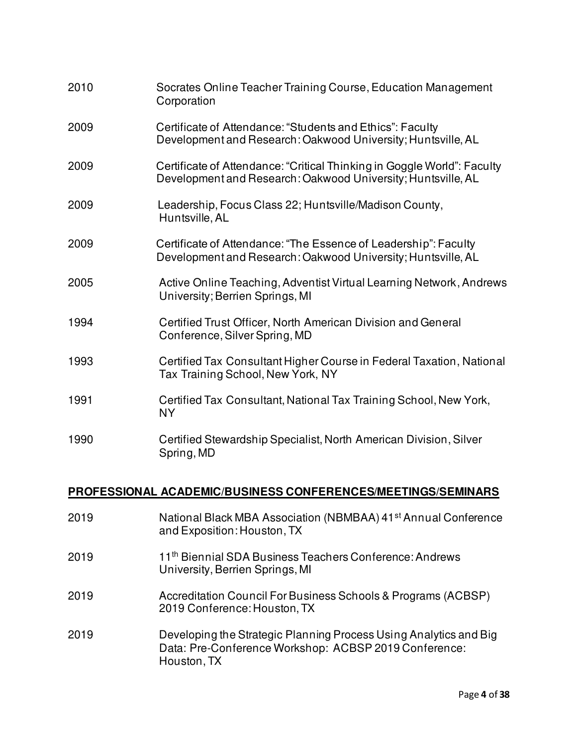| 2010 | Socrates Online Teacher Training Course, Education Management<br>Corporation                                                            |
|------|-----------------------------------------------------------------------------------------------------------------------------------------|
| 2009 | Certificate of Attendance: "Students and Ethics": Faculty<br>Development and Research: Oakwood University; Huntsville, AL               |
| 2009 | Certificate of Attendance: "Critical Thinking in Goggle World": Faculty<br>Development and Research: Oakwood University; Huntsville, AL |
| 2009 | Leadership, Focus Class 22; Huntsville/Madison County,<br>Huntsville, AL                                                                |
| 2009 | Certificate of Attendance: "The Essence of Leadership": Faculty<br>Development and Research: Oakwood University; Huntsville, AL         |
| 2005 | Active Online Teaching, Adventist Virtual Learning Network, Andrews<br>University; Berrien Springs, MI                                  |
| 1994 | Certified Trust Officer, North American Division and General<br>Conference, Silver Spring, MD                                           |
| 1993 | Certified Tax Consultant Higher Course in Federal Taxation, National<br>Tax Training School, New York, NY                               |
| 1991 | Certified Tax Consultant, National Tax Training School, New York,<br><b>NY</b>                                                          |
| 1990 | Certified Stewardship Specialist, North American Division, Silver<br>Spring, MD                                                         |

# **PROFESSIONAL ACADEMIC/BUSINESS CONFERENCES/MEETINGS/SEMINARS**

| 2019 | National Black MBA Association (NBMBAA) 41 <sup>st</sup> Annual Conference<br>and Exposition: Houston, TX                                 |
|------|-------------------------------------------------------------------------------------------------------------------------------------------|
| 2019 | 11 <sup>th</sup> Biennial SDA Business Teachers Conference: Andrews<br>University, Berrien Springs, MI                                    |
| 2019 | Accreditation Council For Business Schools & Programs (ACBSP)<br>2019 Conference: Houston, TX                                             |
| 2019 | Developing the Strategic Planning Process Using Analytics and Big<br>Data: Pre-Conference Workshop: ACBSP 2019 Conference:<br>Houston, TX |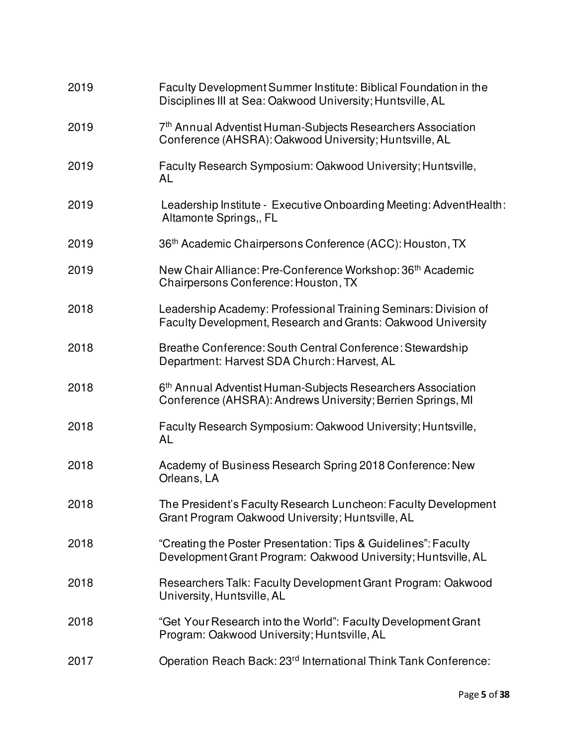| 2019 | Faculty Development Summer Institute: Biblical Foundation in the<br>Disciplines III at Sea: Oakwood University; Huntsville, AL         |
|------|----------------------------------------------------------------------------------------------------------------------------------------|
| 2019 | 7th Annual Adventist Human-Subjects Researchers Association<br>Conference (AHSRA): Oakwood University; Huntsville, AL                  |
| 2019 | Faculty Research Symposium: Oakwood University; Huntsville,<br>AL                                                                      |
| 2019 | Leadership Institute - Executive Onboarding Meeting: AdventHealth:<br>Altamonte Springs,, FL                                           |
| 2019 | 36 <sup>th</sup> Academic Chairpersons Conference (ACC): Houston, TX                                                                   |
| 2019 | New Chair Alliance: Pre-Conference Workshop: 36 <sup>th</sup> Academic<br>Chairpersons Conference: Houston, TX                         |
| 2018 | Leadership Academy: Professional Training Seminars: Division of<br>Faculty Development, Research and Grants: Oakwood University        |
| 2018 | Breathe Conference: South Central Conference: Stewardship<br>Department: Harvest SDA Church: Harvest, AL                               |
| 2018 | 6 <sup>th</sup> Annual Adventist Human-Subjects Researchers Association<br>Conference (AHSRA): Andrews University; Berrien Springs, MI |
| 2018 | Faculty Research Symposium: Oakwood University; Huntsville,<br><b>AL</b>                                                               |
| 2018 | Academy of Business Research Spring 2018 Conference: New<br>Orleans, LA                                                                |
| 2018 | The President's Faculty Research Luncheon: Faculty Development<br>Grant Program Oakwood University; Huntsville, AL                     |
| 2018 | "Creating the Poster Presentation: Tips & Guidelines": Faculty<br>Development Grant Program: Oakwood University; Huntsville, AL        |
| 2018 | Researchers Talk: Faculty Development Grant Program: Oakwood<br>University, Huntsville, AL                                             |
| 2018 | "Get Your Research into the World": Faculty Development Grant<br>Program: Oakwood University; Huntsville, AL                           |
| 2017 | Operation Reach Back: 23rd International Think Tank Conference:                                                                        |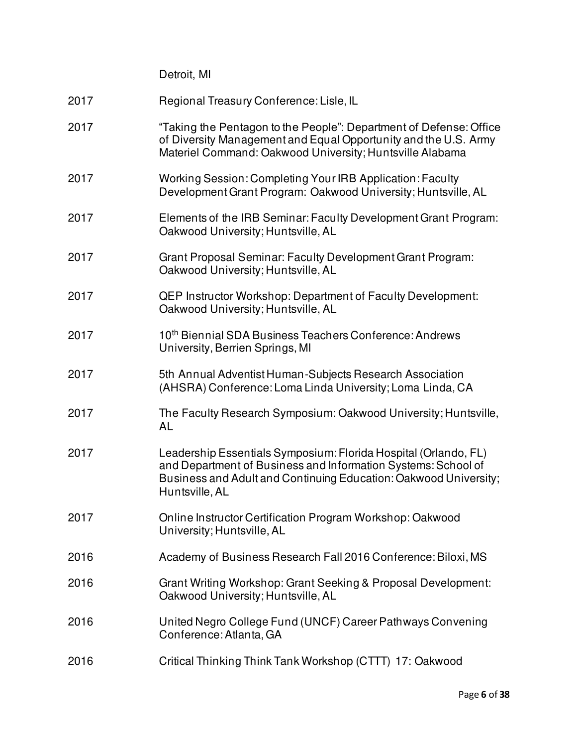|      | Detroit, MI                                                                                                                                                                                                            |
|------|------------------------------------------------------------------------------------------------------------------------------------------------------------------------------------------------------------------------|
| 2017 | Regional Treasury Conference: Lisle, IL                                                                                                                                                                                |
| 2017 | "Taking the Pentagon to the People": Department of Defense: Office<br>of Diversity Management and Equal Opportunity and the U.S. Army<br>Materiel Command: Oakwood University; Huntsville Alabama                      |
| 2017 | Working Session: Completing Your IRB Application: Faculty<br>Development Grant Program: Oakwood University; Huntsville, AL                                                                                             |
| 2017 | Elements of the IRB Seminar: Faculty Development Grant Program:<br>Oakwood University; Huntsville, AL                                                                                                                  |
| 2017 | Grant Proposal Seminar: Faculty Development Grant Program:<br>Oakwood University; Huntsville, AL                                                                                                                       |
| 2017 | <b>QEP Instructor Workshop: Department of Faculty Development:</b><br>Oakwood University; Huntsville, AL                                                                                                               |
| 2017 | 10th Biennial SDA Business Teachers Conference: Andrews<br>University, Berrien Springs, MI                                                                                                                             |
| 2017 | 5th Annual Adventist Human-Subjects Research Association<br>(AHSRA) Conference: Loma Linda University; Loma Linda, CA                                                                                                  |
| 2017 | The Faculty Research Symposium: Oakwood University; Huntsville,<br><b>AL</b>                                                                                                                                           |
| 2017 | Leadership Essentials Symposium: Florida Hospital (Orlando, FL)<br>and Department of Business and Information Systems: School of<br>Business and Adult and Continuing Education: Oakwood University;<br>Huntsville, AL |
| 2017 | Online Instructor Certification Program Workshop: Oakwood<br>University; Huntsville, AL                                                                                                                                |
| 2016 | Academy of Business Research Fall 2016 Conference: Biloxi, MS                                                                                                                                                          |
| 2016 | Grant Writing Workshop: Grant Seeking & Proposal Development:<br>Oakwood University; Huntsville, AL                                                                                                                    |
| 2016 | United Negro College Fund (UNCF) Career Pathways Convening<br>Conference: Atlanta, GA                                                                                                                                  |
| 2016 | Critical Thinking Think Tank Workshop (CTTT) 17: Oakwood                                                                                                                                                               |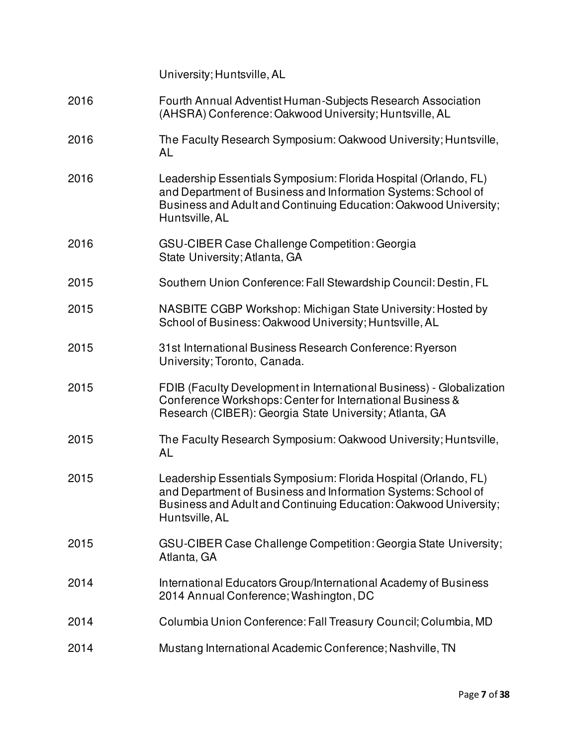|      | University; Huntsville, AL                                                                                                                                                                                             |
|------|------------------------------------------------------------------------------------------------------------------------------------------------------------------------------------------------------------------------|
| 2016 | Fourth Annual Adventist Human-Subjects Research Association<br>(AHSRA) Conference: Oakwood University; Huntsville, AL                                                                                                  |
| 2016 | The Faculty Research Symposium: Oakwood University; Huntsville,<br>AL                                                                                                                                                  |
| 2016 | Leadership Essentials Symposium: Florida Hospital (Orlando, FL)<br>and Department of Business and Information Systems: School of<br>Business and Adult and Continuing Education: Oakwood University;<br>Huntsville, AL |
| 2016 | GSU-CIBER Case Challenge Competition: Georgia<br>State University; Atlanta, GA                                                                                                                                         |
| 2015 | Southern Union Conference: Fall Stewardship Council: Destin, FL                                                                                                                                                        |
| 2015 | NASBITE CGBP Workshop: Michigan State University: Hosted by<br>School of Business: Oakwood University; Huntsville, AL                                                                                                  |
| 2015 | 31st International Business Research Conference: Ryerson<br>University; Toronto, Canada.                                                                                                                               |
| 2015 | FDIB (Faculty Development in International Business) - Globalization<br>Conference Workshops: Center for International Business &<br>Research (CIBER): Georgia State University; Atlanta, GA                           |
| 2015 | The Faculty Research Symposium: Oakwood University; Huntsville,<br><b>AL</b>                                                                                                                                           |
| 2015 | Leadership Essentials Symposium: Florida Hospital (Orlando, FL)<br>and Department of Business and Information Systems: School of<br>Business and Adult and Continuing Education: Oakwood University;<br>Huntsville, AL |
| 2015 | GSU-CIBER Case Challenge Competition: Georgia State University;<br>Atlanta, GA                                                                                                                                         |
| 2014 | International Educators Group/International Academy of Business<br>2014 Annual Conference; Washington, DC                                                                                                              |
| 2014 | Columbia Union Conference: Fall Treasury Council; Columbia, MD                                                                                                                                                         |
| 2014 | Mustang International Academic Conference; Nashville, TN                                                                                                                                                               |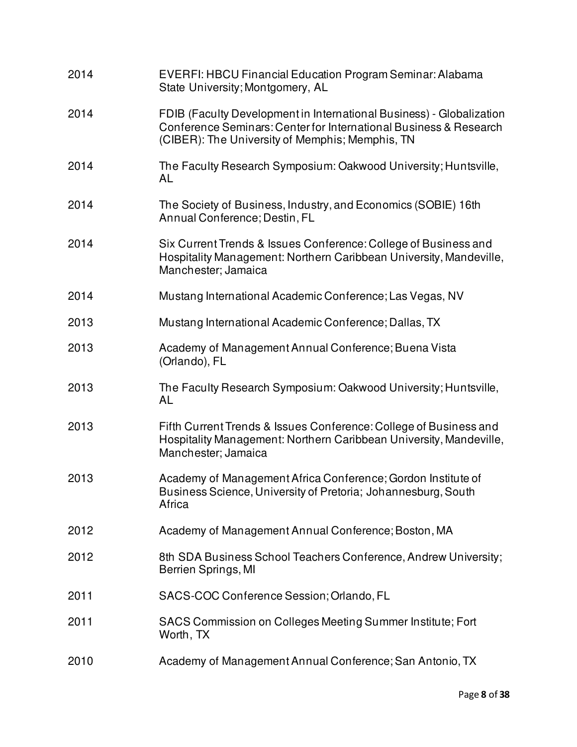| 2014 | <b>EVERFI: HBCU Financial Education Program Seminar: Alabama</b><br>State University; Montgomery, AL                                                                                         |
|------|----------------------------------------------------------------------------------------------------------------------------------------------------------------------------------------------|
| 2014 | FDIB (Faculty Development in International Business) - Globalization<br>Conference Seminars: Center for International Business & Research<br>(CIBER): The University of Memphis; Memphis, TN |
| 2014 | The Faculty Research Symposium: Oakwood University; Huntsville,<br>AL                                                                                                                        |
| 2014 | The Society of Business, Industry, and Economics (SOBIE) 16th<br>Annual Conference; Destin, FL                                                                                               |
| 2014 | Six Current Trends & Issues Conference: College of Business and<br>Hospitality Management: Northern Caribbean University, Mandeville,<br>Manchester; Jamaica                                 |
| 2014 | Mustang International Academic Conference; Las Vegas, NV                                                                                                                                     |
| 2013 | Mustang International Academic Conference; Dallas, TX                                                                                                                                        |
| 2013 | Academy of Management Annual Conference; Buena Vista<br>(Orlando), FL                                                                                                                        |
| 2013 | The Faculty Research Symposium: Oakwood University; Huntsville,<br>AL                                                                                                                        |
| 2013 | Fifth Current Trends & Issues Conference: College of Business and<br>Hospitality Management: Northern Caribbean University, Mandeville,<br>Manchester; Jamaica                               |
| 2013 | Academy of Management Africa Conference; Gordon Institute of<br>Business Science, University of Pretoria; Johannesburg, South<br>Africa                                                      |
| 2012 | Academy of Management Annual Conference; Boston, MA                                                                                                                                          |
| 2012 | 8th SDA Business School Teachers Conference, Andrew University;<br>Berrien Springs, MI                                                                                                       |
| 2011 | SACS-COC Conference Session; Orlando, FL                                                                                                                                                     |
| 2011 | SACS Commission on Colleges Meeting Summer Institute; Fort<br>Worth, TX                                                                                                                      |
| 2010 | Academy of Management Annual Conference; San Antonio, TX                                                                                                                                     |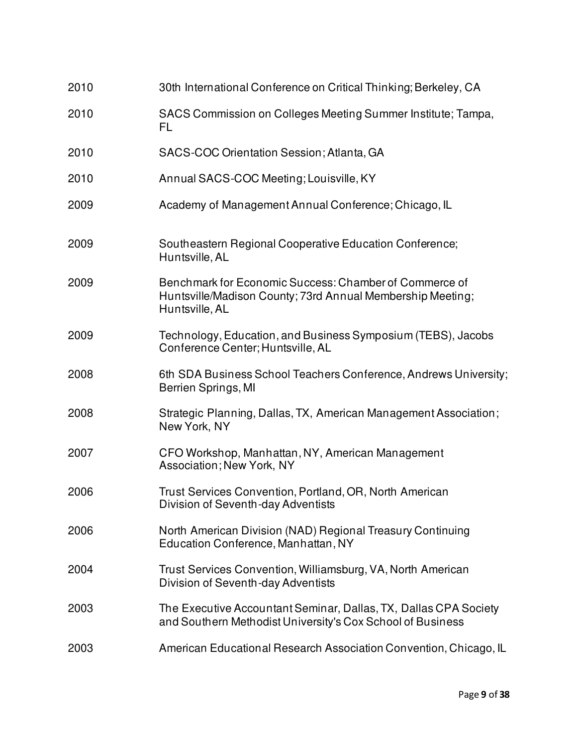| 2010 | 30th International Conference on Critical Thinking; Berkeley, CA                                                                       |
|------|----------------------------------------------------------------------------------------------------------------------------------------|
| 2010 | SACS Commission on Colleges Meeting Summer Institute; Tampa,<br>FL                                                                     |
| 2010 | SACS-COC Orientation Session; Atlanta, GA                                                                                              |
| 2010 | Annual SACS-COC Meeting; Louisville, KY                                                                                                |
| 2009 | Academy of Management Annual Conference; Chicago, IL                                                                                   |
| 2009 | Southeastern Regional Cooperative Education Conference;<br>Huntsville, AL                                                              |
| 2009 | Benchmark for Economic Success: Chamber of Commerce of<br>Huntsville/Madison County; 73rd Annual Membership Meeting;<br>Huntsville, AL |
| 2009 | Technology, Education, and Business Symposium (TEBS), Jacobs<br>Conference Center; Huntsville, AL                                      |
| 2008 | 6th SDA Business School Teachers Conference, Andrews University;<br>Berrien Springs, MI                                                |
| 2008 | Strategic Planning, Dallas, TX, American Management Association;<br>New York, NY                                                       |
| 2007 | CFO Workshop, Manhattan, NY, American Management<br><b>Association; New York, NY</b>                                                   |
| 2006 | Trust Services Convention, Portland, OR, North American<br>Division of Seventh-day Adventists                                          |
| 2006 | North American Division (NAD) Regional Treasury Continuing<br>Education Conference, Manhattan, NY                                      |
| 2004 | Trust Services Convention, Williamsburg, VA, North American<br>Division of Seventh-day Adventists                                      |
| 2003 | The Executive Accountant Seminar, Dallas, TX, Dallas CPA Society<br>and Southern Methodist University's Cox School of Business         |
| 2003 | American Educational Research Association Convention, Chicago, IL                                                                      |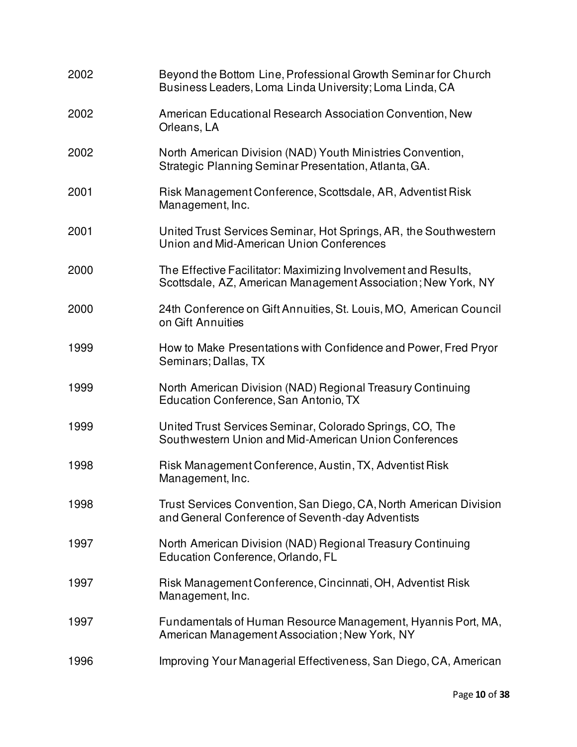| 2002 | Beyond the Bottom Line, Professional Growth Seminar for Church<br>Business Leaders, Loma Linda University; Loma Linda, CA       |
|------|---------------------------------------------------------------------------------------------------------------------------------|
| 2002 | American Educational Research Association Convention, New<br>Orleans, LA                                                        |
| 2002 | North American Division (NAD) Youth Ministries Convention,<br>Strategic Planning Seminar Presentation, Atlanta, GA.             |
| 2001 | Risk Management Conference, Scottsdale, AR, Adventist Risk<br>Management, Inc.                                                  |
| 2001 | United Trust Services Seminar, Hot Springs, AR, the Southwestern<br>Union and Mid-American Union Conferences                    |
| 2000 | The Effective Facilitator: Maximizing Involvement and Results,<br>Scottsdale, AZ, American Management Association; New York, NY |
| 2000 | 24th Conference on Gift Annuities, St. Louis, MO, American Council<br>on Gift Annuities                                         |
| 1999 | How to Make Presentations with Confidence and Power, Fred Pryor<br>Seminars; Dallas, TX                                         |
| 1999 | North American Division (NAD) Regional Treasury Continuing<br>Education Conference, San Antonio, TX                             |
| 1999 | United Trust Services Seminar, Colorado Springs, CO, The<br>Southwestern Union and Mid-American Union Conferences               |
| 1998 | Risk Management Conference, Austin, TX, Adventist Risk<br>Management, Inc.                                                      |
| 1998 | Trust Services Convention, San Diego, CA, North American Division<br>and General Conference of Seventh-day Adventists           |
| 1997 | North American Division (NAD) Regional Treasury Continuing<br>Education Conference, Orlando, FL                                 |
| 1997 | Risk Management Conference, Cincinnati, OH, Adventist Risk<br>Management, Inc.                                                  |
| 1997 | Fundamentals of Human Resource Management, Hyannis Port, MA,<br>American Management Association; New York, NY                   |
| 1996 | Improving Your Managerial Effectiveness, San Diego, CA, American                                                                |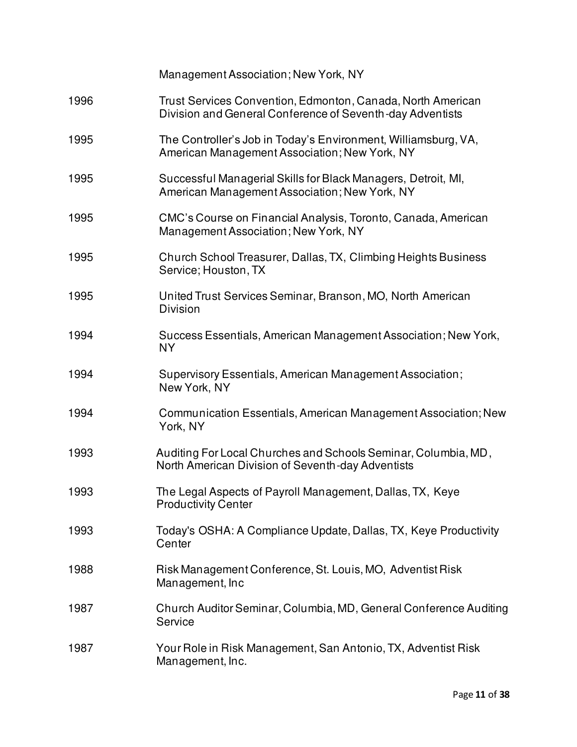|      | Management Association; New York, NY                                                                                     |
|------|--------------------------------------------------------------------------------------------------------------------------|
| 1996 | Trust Services Convention, Edmonton, Canada, North American<br>Division and General Conference of Seventh-day Adventists |
| 1995 | The Controller's Job in Today's Environment, Williamsburg, VA,<br>American Management Association; New York, NY          |
| 1995 | Successful Managerial Skills for Black Managers, Detroit, MI,<br>American Management Association; New York, NY           |
| 1995 | CMC's Course on Financial Analysis, Toronto, Canada, American<br>Management Association; New York, NY                    |
| 1995 | Church School Treasurer, Dallas, TX, Climbing Heights Business<br>Service; Houston, TX                                   |
| 1995 | United Trust Services Seminar, Branson, MO, North American<br><b>Division</b>                                            |
| 1994 | Success Essentials, American Management Association; New York,<br><b>NY</b>                                              |
| 1994 | Supervisory Essentials, American Management Association;<br>New York, NY                                                 |
| 1994 | Communication Essentials, American Management Association; New<br>York, NY                                               |
| 1993 | Auditing For Local Churches and Schools Seminar, Columbia, MD,<br>North American Division of Seventh-day Adventists      |
| 1993 | The Legal Aspects of Payroll Management, Dallas, TX, Keye<br><b>Productivity Center</b>                                  |
| 1993 | Today's OSHA: A Compliance Update, Dallas, TX, Keye Productivity<br>Center                                               |
| 1988 | Risk Management Conference, St. Louis, MO, Adventist Risk<br>Management, Inc                                             |
| 1987 | Church Auditor Seminar, Columbia, MD, General Conference Auditing<br>Service                                             |
| 1987 | Your Role in Risk Management, San Antonio, TX, Adventist Risk<br>Management, Inc.                                        |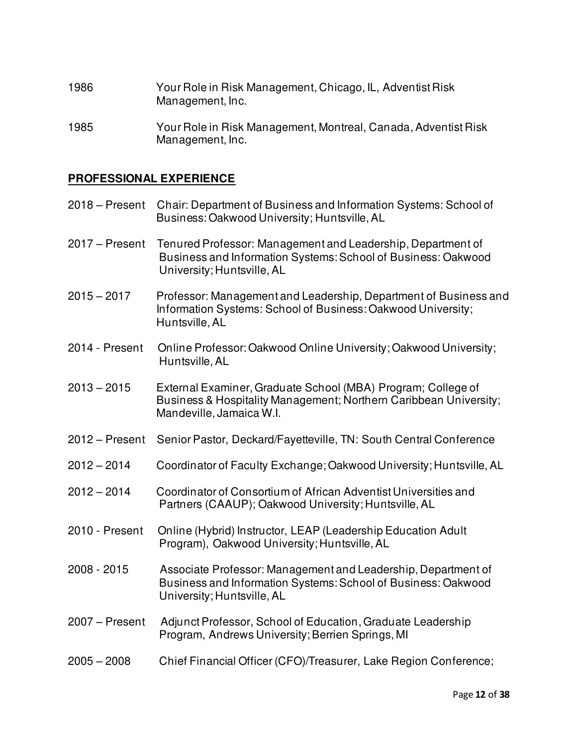| 1986 | Your Role in Risk Management, Chicago, IL, Adventist Risk |
|------|-----------------------------------------------------------|
|      | Management, Inc.                                          |

1985 Your Role in Risk Management, Montreal, Canada, Adventist Risk Management, Inc.

# **PROFESSIONAL EXPERIENCE**

|                  | 2018 – Present Chair: Department of Business and Information Systems: School of<br>Business: Oakwood University; Huntsville, AL                               |
|------------------|---------------------------------------------------------------------------------------------------------------------------------------------------------------|
| $2017 -$ Present | Tenured Professor: Management and Leadership, Department of<br>Business and Information Systems: School of Business: Oakwood<br>University; Huntsville, AL    |
| $2015 - 2017$    | Professor: Management and Leadership, Department of Business and<br>Information Systems: School of Business: Oakwood University;<br>Huntsville, AL            |
| 2014 - Present   | Online Professor: Oakwood Online University; Oakwood University;<br>Huntsville, AL                                                                            |
| $2013 - 2015$    | External Examiner, Graduate School (MBA) Program; College of<br>Business & Hospitality Management; Northern Caribbean University;<br>Mandeville, Jamaica W.I. |
| $2012 - Present$ | Senior Pastor, Deckard/Fayetteville, TN: South Central Conference                                                                                             |
| $2012 - 2014$    | Coordinator of Faculty Exchange; Oakwood University; Huntsville, AL                                                                                           |
| $2012 - 2014$    | Coordinator of Consortium of African Adventist Universities and<br>Partners (CAAUP); Oakwood University; Huntsville, AL                                       |
| 2010 - Present   | Online (Hybrid) Instructor, LEAP (Leadership Education Adult<br>Program), Oakwood University; Huntsville, AL                                                  |
| 2008 - 2015      | Associate Professor: Management and Leadership, Department of<br>Business and Information Systems: School of Business: Oakwood<br>University; Huntsville, AL  |
| $2007 -$ Present | Adjunct Professor, School of Education, Graduate Leadership<br>Program, Andrews University; Berrien Springs, MI                                               |
| $2005 - 2008$    | Chief Financial Officer (CFO)/Treasurer, Lake Region Conference;                                                                                              |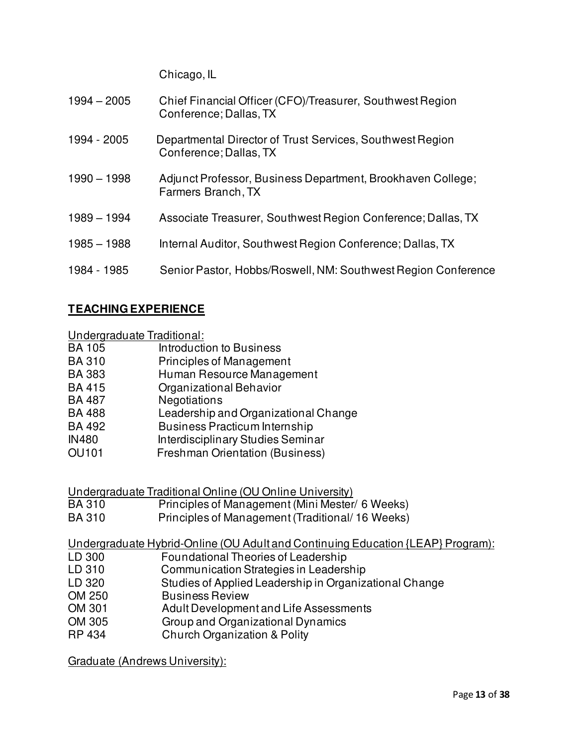Chicago, IL

| $1994 - 2005$ | Chief Financial Officer (CFO)/Treasurer, Southwest Region<br>Conference; Dallas, TX |
|---------------|-------------------------------------------------------------------------------------|
| 1994 - 2005   | Departmental Director of Trust Services, Southwest Region<br>Conference; Dallas, TX |
| $1990 - 1998$ | Adjunct Professor, Business Department, Brookhaven College;<br>Farmers Branch, TX   |
| $1989 - 1994$ | Associate Treasurer, Southwest Region Conference; Dallas, TX                        |
| $1985 - 1988$ | Internal Auditor, Southwest Region Conference; Dallas, TX                           |
| 1984 - 1985   | Senior Pastor, Hobbs/Roswell, NM: Southwest Region Conference                       |

# **TEACHING EXPERIENCE**

**Undergraduate Traditional:**<br>BA 105 **Introducti** 

- Introduction to Business
- BA 310 Principles of Management<br>BA 383 Human Resource Manager
- Human Resource Management
- BA 415 Organizational Behavior
- BA 487 Negotiations
- BA 488 Leadership and Organizational Change
- BA 492 Business Practicum Internship
- IN480 Interdisciplinary Studies Seminar
- OU101 Freshman Orientation (Business)

Undergraduate Traditional Online (OU Online University)

- BA 310 Principles of Management (Mini Mester/ 6 Weeks)
- BA 310 Principles of Management (Traditional/ 16 Weeks)

Undergraduate Hybrid-Online (OU Adult and Continuing Education {LEAP} Program):

- LD 300 Foundational Theories of Leadership
- LD 310 Communication Strategies in Leadership
- LD 320 Studies of Applied Leadership in Organizational Change
- OM 250 Business Review
- OM 301 Adult Development and Life Assessments
- OM 305 Group and Organizational Dynamics
- RP 434 Church Organization & Polity

Graduate (Andrews University):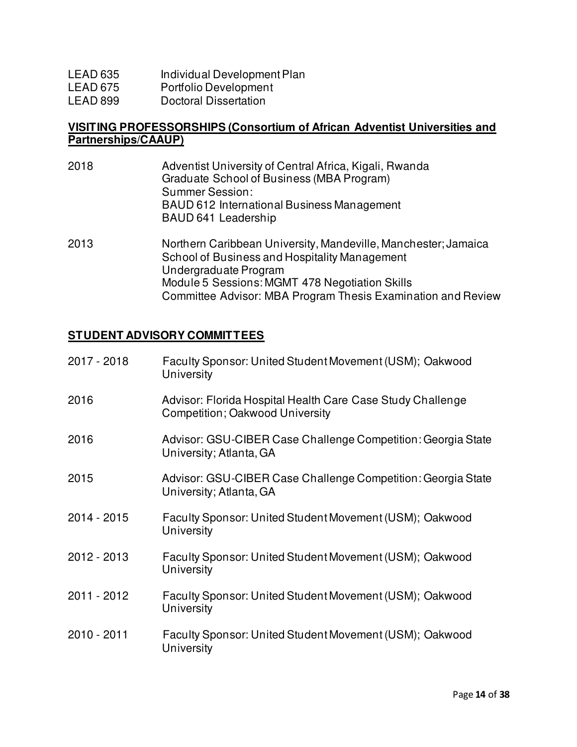| LEAD 635 | Individual Development Plan |
|----------|-----------------------------|
|----------|-----------------------------|

- LEAD 675 Portfolio Development
- LEAD 899 Doctoral Dissertation

### **VISITING PROFESSORSHIPS (Consortium of African Adventist Universities and Partnerships/CAAUP)**

2018 Adventist University of Central Africa, Kigali, Rwanda Graduate School of Business (MBA Program) Summer Session: BAUD 612 International Business Management BAUD 641 Leadership 2013 Northern Caribbean University, Mandeville, Manchester; Jamaica School of Business and Hospitality Management Undergraduate Program Module 5 Sessions: MGMT 478 Negotiation Skills Committee Advisor: MBA Program Thesis Examination and Review

# **STUDENT ADVISORY COMMITTEES**

| 2017 - 2018 | Faculty Sponsor: United Student Movement (USM); Oakwood<br>University                         |
|-------------|-----------------------------------------------------------------------------------------------|
| 2016        | Advisor: Florida Hospital Health Care Case Study Challenge<br>Competition; Oakwood University |
| 2016        | Advisor: GSU-CIBER Case Challenge Competition: Georgia State<br>University; Atlanta, GA       |
| 2015        | Advisor: GSU-CIBER Case Challenge Competition: Georgia State<br>University; Atlanta, GA       |
| 2014 - 2015 | Faculty Sponsor: United Student Movement (USM); Oakwood<br>University                         |
| 2012 - 2013 | Faculty Sponsor: United Student Movement (USM); Oakwood<br>University                         |
| 2011 - 2012 | Faculty Sponsor: United Student Movement (USM); Oakwood<br>University                         |
| 2010 - 2011 | Faculty Sponsor: United Student Movement (USM); Oakwood<br>University                         |
|             |                                                                                               |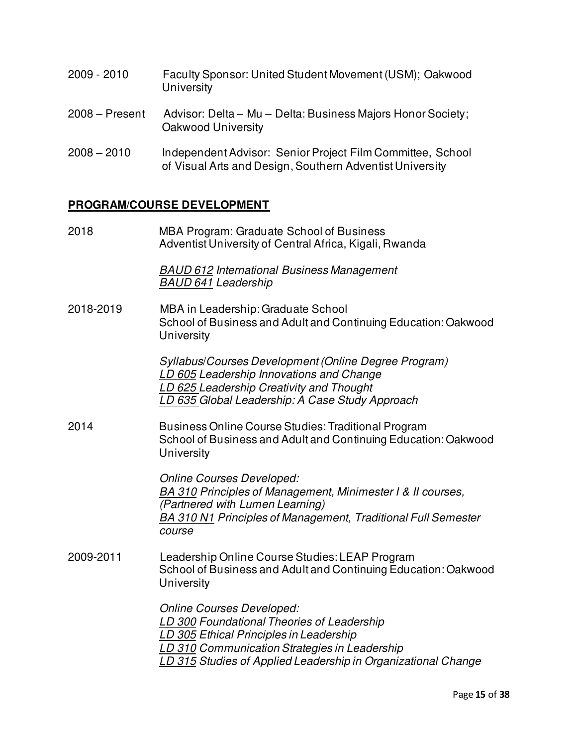- 2009 2010 Faculty Sponsor: United Student Movement (USM); Oakwood **University**
- 2008 Present Advisor: Delta Mu Delta: Business Majors Honor Society; Oakwood University
- 2008 2010 Independent Advisor: Senior Project Film Committee, School of Visual Arts and Design, Southern Adventist University

### **PROGRAM/COURSE DEVELOPMENT**

2018 MBA Program: Graduate School of Business Adventist University of Central Africa, Kigali, Rwanda

> *BAUD 612 International Business Management BAUD 641 Leadership*

2018-2019 MBA in Leadership: Graduate School School of Business and Adult and Continuing Education: Oakwood **University** 

> *Syllabus*/*Courses Development (Online Degree Program) LD 605 Leadership Innovations and Change LD 625 Leadership Creativity and Thought LD 635 Global Leadership: A Case Study Approach*

2014 Business Online Course Studies: Traditional Program School of Business and Adult and Continuing Education: Oakwood **University** 

> *Online Courses Developed: BA 310 Principles of Management, Minimester I & II courses, (Partnered with Lumen Learning) BA 310 N1 Principles of Management, Traditional Full Semester course*

2009-2011 Leadership Online Course Studies: LEAP Program School of Business and Adult and Continuing Education: Oakwood **University** 

> *Online Courses Developed: LD 300 Foundational Theories of Leadership LD 305 Ethical Principles in Leadership LD 310 Communication Strategies in Leadership LD 315 Studies of Applied Leadership in Organizational Change*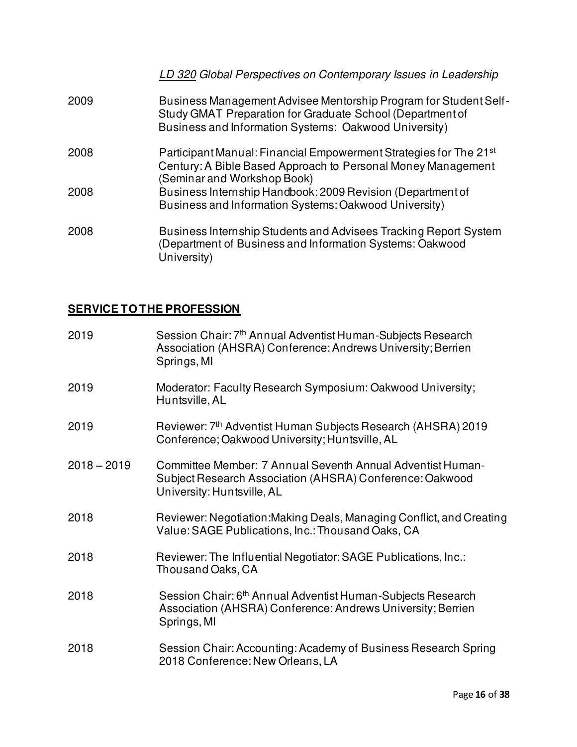### *LD 320 Global Perspectives on Contemporary Issues in Leadership*

- 2009 Business Management Advisee Mentorship Program for Student Self- Study GMAT Preparation for Graduate School (Department of Business and Information Systems: Oakwood University)
- 2008 Participant Manual: Financial Empowerment Strategies for The 21st Century: A Bible Based Approach to Personal Money Management (Seminar and Workshop Book)
- 2008 Business Internship Handbook: 2009 Revision (Department of Business and Information Systems: Oakwood University)
- 2008 Business Internship Students and Advisees Tracking Report System (Department of Business and Information Systems: Oakwood University)

# **SERVICE TO THE PROFESSION**

| 2019          | Session Chair: 7 <sup>th</sup> Annual Adventist Human-Subjects Research<br>Association (AHSRA) Conference: Andrews University; Berrien<br>Springs, MI |
|---------------|-------------------------------------------------------------------------------------------------------------------------------------------------------|
| 2019          | Moderator: Faculty Research Symposium: Oakwood University;<br>Huntsville, AL                                                                          |
| 2019          | Reviewer: 7 <sup>th</sup> Adventist Human Subjects Research (AHSRA) 2019<br>Conference; Oakwood University; Huntsville, AL                            |
| $2018 - 2019$ | Committee Member: 7 Annual Seventh Annual Adventist Human-<br>Subject Research Association (AHSRA) Conference: Oakwood<br>University: Huntsville, AL  |
| 2018          | Reviewer: Negotiation: Making Deals, Managing Conflict, and Creating<br>Value: SAGE Publications, Inc.: Thousand Oaks, CA                             |
| 2018          | Reviewer: The Influential Negotiator: SAGE Publications, Inc.:<br>Thousand Oaks, CA                                                                   |
| 2018          | Session Chair: 6 <sup>th</sup> Annual Adventist Human-Subjects Research<br>Association (AHSRA) Conference: Andrews University; Berrien<br>Springs, MI |
| 2018          | Session Chair: Accounting: Academy of Business Research Spring<br>2018 Conference: New Orleans, LA                                                    |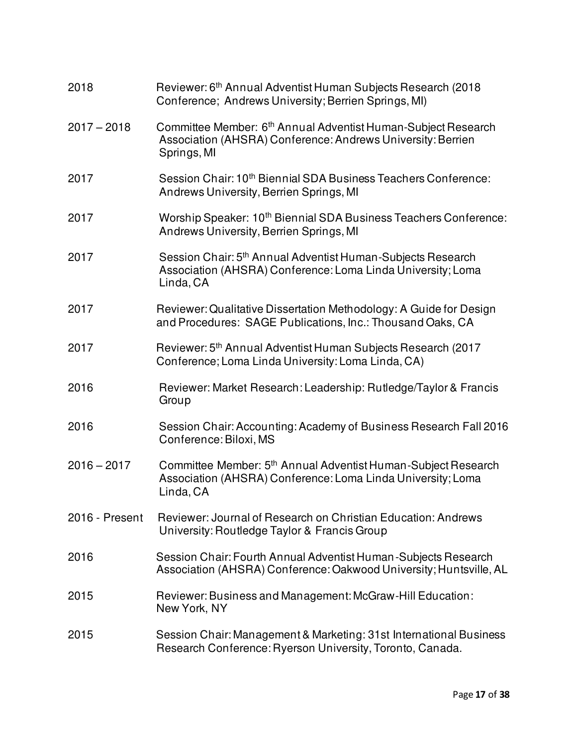| 2018           | Reviewer: 6 <sup>th</sup> Annual Adventist Human Subjects Research (2018<br>Conference; Andrews University; Berrien Springs, MI)                        |
|----------------|---------------------------------------------------------------------------------------------------------------------------------------------------------|
| $2017 - 2018$  | Committee Member: 6 <sup>th</sup> Annual Adventist Human-Subject Research<br>Association (AHSRA) Conference: Andrews University: Berrien<br>Springs, MI |
| 2017           | Session Chair: 10 <sup>th</sup> Biennial SDA Business Teachers Conference:<br>Andrews University, Berrien Springs, MI                                   |
| 2017           | Worship Speaker: 10 <sup>th</sup> Biennial SDA Business Teachers Conference:<br>Andrews University, Berrien Springs, MI                                 |
| 2017           | Session Chair: 5 <sup>th</sup> Annual Adventist Human-Subjects Research<br>Association (AHSRA) Conference: Loma Linda University; Loma<br>Linda, CA     |
| 2017           | Reviewer: Qualitative Dissertation Methodology: A Guide for Design<br>and Procedures: SAGE Publications, Inc.: Thousand Oaks, CA                        |
| 2017           | Reviewer: 5 <sup>th</sup> Annual Adventist Human Subjects Research (2017<br>Conference; Loma Linda University: Loma Linda, CA)                          |
| 2016           | Reviewer: Market Research: Leadership: Rutledge/Taylor & Francis<br>Group                                                                               |
| 2016           | Session Chair: Accounting: Academy of Business Research Fall 2016<br>Conference: Biloxi, MS                                                             |
| $2016 - 2017$  | Committee Member: 5 <sup>th</sup> Annual Adventist Human-Subject Research<br>Association (AHSRA) Conference: Loma Linda University; Loma<br>Linda, CA   |
| 2016 - Present | Reviewer: Journal of Research on Christian Education: Andrews<br>University: Routledge Taylor & Francis Group                                           |
| 2016           | Session Chair: Fourth Annual Adventist Human-Subjects Research<br>Association (AHSRA) Conference: Oakwood University; Huntsville, AL                    |
| 2015           | Reviewer: Business and Management: McGraw-Hill Education:<br>New York, NY                                                                               |
| 2015           | Session Chair: Management & Marketing: 31st International Business<br>Research Conference: Ryerson University, Toronto, Canada.                         |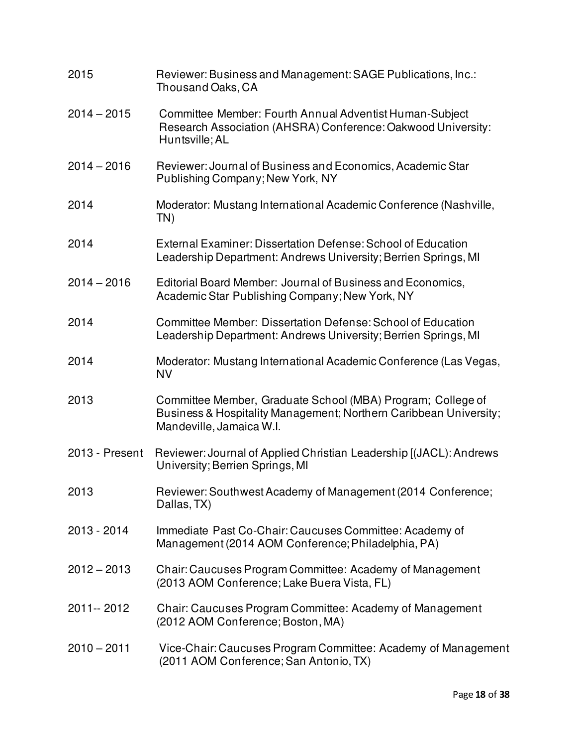| 2015           | Reviewer: Business and Management: SAGE Publications, Inc.:<br>Thousand Oaks, CA                                                                             |
|----------------|--------------------------------------------------------------------------------------------------------------------------------------------------------------|
| $2014 - 2015$  | Committee Member: Fourth Annual Adventist Human-Subject<br>Research Association (AHSRA) Conference: Oakwood University:<br>Huntsville; AL                    |
| $2014 - 2016$  | Reviewer: Journal of Business and Economics, Academic Star<br>Publishing Company; New York, NY                                                               |
| 2014           | Moderator: Mustang International Academic Conference (Nashville,<br>TN)                                                                                      |
| 2014           | External Examiner: Dissertation Defense: School of Education<br>Leadership Department: Andrews University; Berrien Springs, MI                               |
| $2014 - 2016$  | Editorial Board Member: Journal of Business and Economics,<br>Academic Star Publishing Company; New York, NY                                                 |
| 2014           | Committee Member: Dissertation Defense: School of Education<br>Leadership Department: Andrews University; Berrien Springs, MI                                |
| 2014           | Moderator: Mustang International Academic Conference (Las Vegas,<br><b>NV</b>                                                                                |
| 2013           | Committee Member, Graduate School (MBA) Program; College of<br>Business & Hospitality Management; Northern Caribbean University;<br>Mandeville, Jamaica W.I. |
| 2013 - Present | Reviewer: Journal of Applied Christian Leadership [(JACL): Andrews<br>University; Berrien Springs, MI                                                        |
| 2013           | Reviewer: Southwest Academy of Management (2014 Conference;<br>Dallas, TX)                                                                                   |
| 2013 - 2014    | Immediate Past Co-Chair: Caucuses Committee: Academy of<br>Management (2014 AOM Conference; Philadelphia, PA)                                                |
| $2012 - 2013$  | Chair: Caucuses Program Committee: Academy of Management<br>(2013 AOM Conference; Lake Buera Vista, FL)                                                      |
| 2011 -- 2012   | Chair: Caucuses Program Committee: Academy of Management<br>(2012 AOM Conference; Boston, MA)                                                                |
| $2010 - 2011$  | Vice-Chair: Caucuses Program Committee: Academy of Management<br>(2011 AOM Conference; San Antonio, TX)                                                      |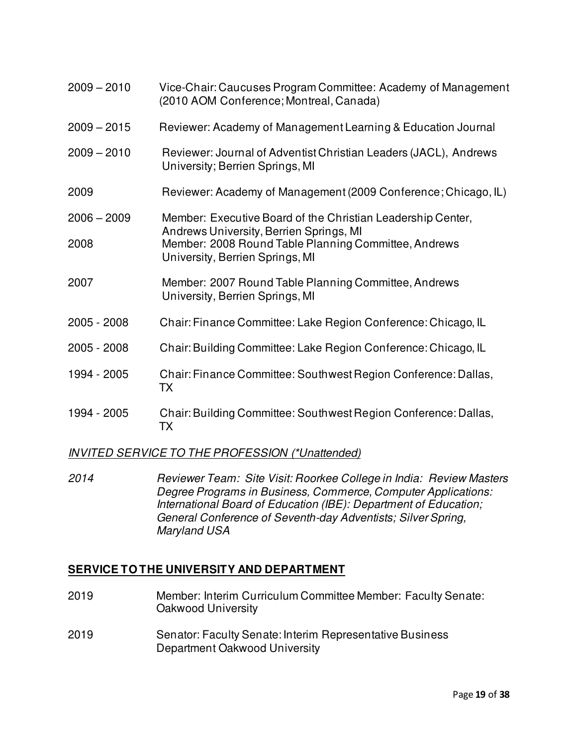| $2009 - 2010$ | Vice-Chair: Caucuses Program Committee: Academy of Management<br>(2010 AOM Conference; Montreal, Canada) |
|---------------|----------------------------------------------------------------------------------------------------------|
| $2009 - 2015$ | Reviewer: Academy of Management Learning & Education Journal                                             |
| $2009 - 2010$ | Reviewer: Journal of Adventist Christian Leaders (JACL), Andrews<br>University; Berrien Springs, MI      |
| 2009          | Reviewer: Academy of Management (2009 Conference; Chicago, IL)                                           |
| $2006 - 2009$ | Member: Executive Board of the Christian Leadership Center,<br>Andrews University, Berrien Springs, MI   |
| 2008          | Member: 2008 Round Table Planning Committee, Andrews<br>University, Berrien Springs, MI                  |
| 2007          | Member: 2007 Round Table Planning Committee, Andrews<br>University, Berrien Springs, MI                  |
| 2005 - 2008   | Chair: Finance Committee: Lake Region Conference: Chicago, IL                                            |
| 2005 - 2008   | Chair: Building Committee: Lake Region Conference: Chicago, IL                                           |
| 1994 - 2005   | Chair: Finance Committee: Southwest Region Conference: Dallas,<br>TX                                     |
| 1994 - 2005   | Chair: Building Committee: Southwest Region Conference: Dallas,<br>ТX                                    |

# *INVITED SERVICE TO THE PROFESSION (\*Unattended)*

*2014 Reviewer Team: Site Visit: Roorkee College in India: Review Masters Degree Programs in Business, Commerce, Computer Applications: International Board of Education (IBE): Department of Education; General Conference of Seventh-day Adventists; Silver Spring, Maryland USA* 

# **SERVICE TO THE UNIVERSITY AND DEPARTMENT**

- 2019 Member: Interim Curriculum Committee Member: Faculty Senate: Oakwood University
- 2019 Senator: Faculty Senate: Interim Representative Business Department Oakwood University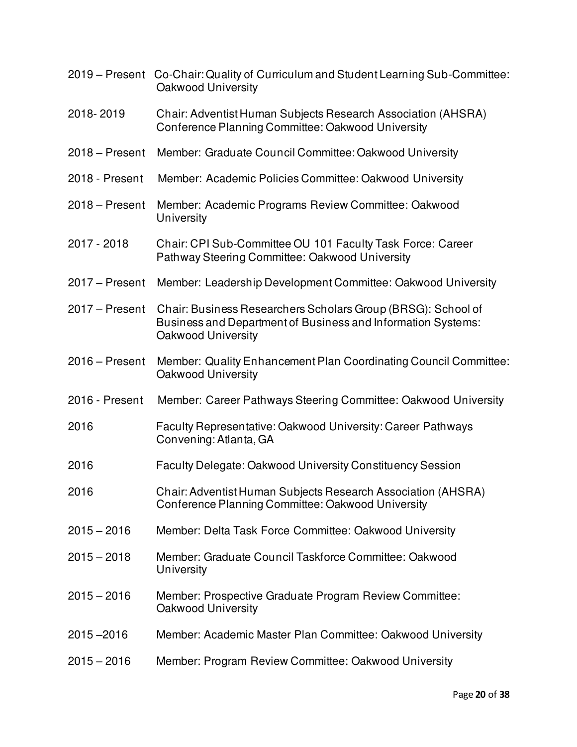|                  | 2019 – Present Co-Chair: Quality of Curriculum and Student Learning Sub-Committee:<br>Oakwood University                                           |
|------------------|----------------------------------------------------------------------------------------------------------------------------------------------------|
| 2018-2019        | Chair: Adventist Human Subjects Research Association (AHSRA)<br>Conference Planning Committee: Oakwood University                                  |
| $2018 - Present$ | Member: Graduate Council Committee: Oakwood University                                                                                             |
| 2018 - Present   | Member: Academic Policies Committee: Oakwood University                                                                                            |
| $2018 -$ Present | Member: Academic Programs Review Committee: Oakwood<br>University                                                                                  |
| 2017 - 2018      | Chair: CPI Sub-Committee OU 101 Faculty Task Force: Career<br>Pathway Steering Committee: Oakwood University                                       |
| $2017 -$ Present | Member: Leadership Development Committee: Oakwood University                                                                                       |
| $2017 -$ Present | Chair: Business Researchers Scholars Group (BRSG): School of<br>Business and Department of Business and Information Systems:<br>Oakwood University |
| $2016 -$ Present | Member: Quality Enhancement Plan Coordinating Council Committee:<br>Oakwood University                                                             |
| 2016 - Present   | Member: Career Pathways Steering Committee: Oakwood University                                                                                     |
| 2016             | Faculty Representative: Oakwood University: Career Pathways<br>Convening: Atlanta, GA                                                              |
| 2016             | Faculty Delegate: Oakwood University Constituency Session                                                                                          |
| 2016             | Chair: Adventist Human Subjects Research Association (AHSRA)<br>Conference Planning Committee: Oakwood University                                  |
| $2015 - 2016$    | Member: Delta Task Force Committee: Oakwood University                                                                                             |
| $2015 - 2018$    | Member: Graduate Council Taskforce Committee: Oakwood<br>University                                                                                |
| $2015 - 2016$    | Member: Prospective Graduate Program Review Committee:<br>Oakwood University                                                                       |
| $2015 - 2016$    | Member: Academic Master Plan Committee: Oakwood University                                                                                         |
| $2015 - 2016$    | Member: Program Review Committee: Oakwood University                                                                                               |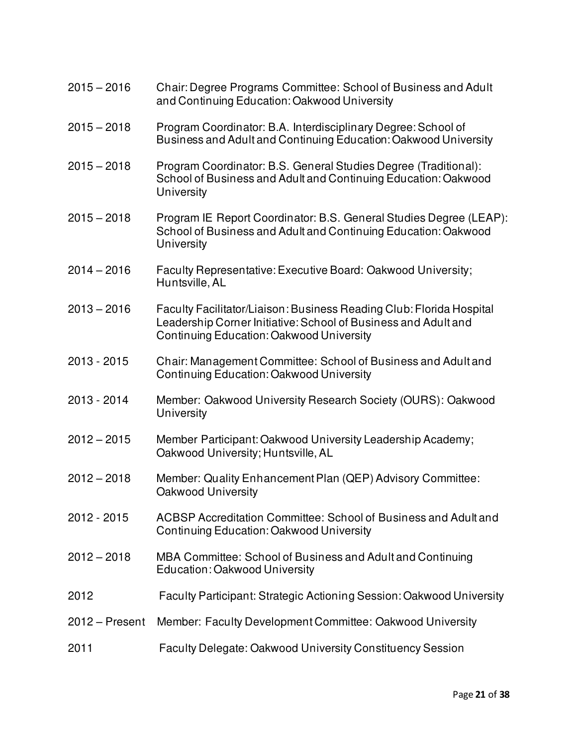- 2015 2016 Chair: Degree Programs Committee: School of Business and Adult and Continuing Education: Oakwood University
- 2015 2018 Program Coordinator: B.A. Interdisciplinary Degree: School of Business and Adult and Continuing Education: Oakwood University
- 2015 2018 Program Coordinator: B.S. General Studies Degree (Traditional): School of Business and Adult and Continuing Education: Oakwood **University**
- 2015 2018 Program IE Report Coordinator: B.S. General Studies Degree (LEAP): School of Business and Adult and Continuing Education: Oakwood **University**
- 2014 2016 Faculty Representative: Executive Board: Oakwood University; Huntsville, AL
- 2013 2016 Faculty Facilitator/Liaison: Business Reading Club: Florida Hospital Leadership Corner Initiative: School of Business and Adult and Continuing Education: Oakwood University
- 2013 2015 Chair: Management Committee: School of Business and Adult and Continuing Education: Oakwood University
- 2013 2014 Member: Oakwood University Research Society (OURS): Oakwood **University**
- 2012 2015 Member Participant: Oakwood University Leadership Academy; Oakwood University; Huntsville, AL
- 2012 2018 Member: Quality Enhancement Plan (QEP) Advisory Committee: Oakwood University
- 2012 2015 ACBSP Accreditation Committee: School of Business and Adult and Continuing Education: Oakwood University
- 2012 2018 MBA Committee: School of Business and Adult and Continuing Education: Oakwood University
- 2012 Faculty Participant: Strategic Actioning Session: Oakwood University
- 2012 Present Member: Faculty Development Committee: Oakwood University
- 2011 Faculty Delegate: Oakwood University Constituency Session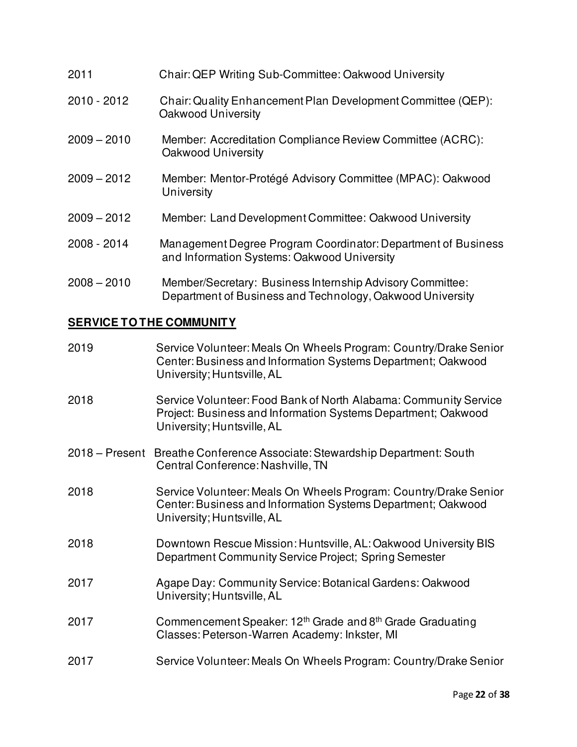| 2011          | Chair: QEP Writing Sub-Committee: Oakwood University                                                                   |
|---------------|------------------------------------------------------------------------------------------------------------------------|
| $2010 - 2012$ | Chair: Quality Enhancement Plan Development Committee (QEP):<br>Oakwood University                                     |
| $2009 - 2010$ | Member: Accreditation Compliance Review Committee (ACRC):<br>Oakwood University                                        |
| $2009 - 2012$ | Member: Mentor-Protégé Advisory Committee (MPAC): Oakwood<br>University                                                |
| $2009 - 2012$ | Member: Land Development Committee: Oakwood University                                                                 |
| 2008 - 2014   | Management Degree Program Coordinator: Department of Business<br>and Information Systems: Oakwood University           |
| $2008 - 2010$ | Member/Secretary: Business Internship Advisory Committee:<br>Department of Business and Technology, Oakwood University |

# **SERVICE TO THE COMMUNITY**

| 2019             | Service Volunteer: Meals On Wheels Program: Country/Drake Senior<br>Center: Business and Information Systems Department; Oakwood<br>University; Huntsville, AL  |
|------------------|-----------------------------------------------------------------------------------------------------------------------------------------------------------------|
| 2018             | Service Volunteer: Food Bank of North Alabama: Community Service<br>Project: Business and Information Systems Department; Oakwood<br>University; Huntsville, AL |
| $2018 -$ Present | Breathe Conference Associate: Stewardship Department: South<br>Central Conference: Nashville, TN                                                                |
| 2018             | Service Volunteer: Meals On Wheels Program: Country/Drake Senior<br>Center: Business and Information Systems Department; Oakwood<br>University; Huntsville, AL  |
| 2018             | Downtown Rescue Mission: Huntsville, AL: Oakwood University BIS<br>Department Community Service Project; Spring Semester                                        |
| 2017             | Agape Day: Community Service: Botanical Gardens: Oakwood<br>University; Huntsville, AL                                                                          |
| 2017             | Commencement Speaker: 12 <sup>th</sup> Grade and 8 <sup>th</sup> Grade Graduating<br>Classes: Peterson-Warren Academy: Inkster, MI                              |
| 2017             | Service Volunteer: Meals On Wheels Program: Country/Drake Senior                                                                                                |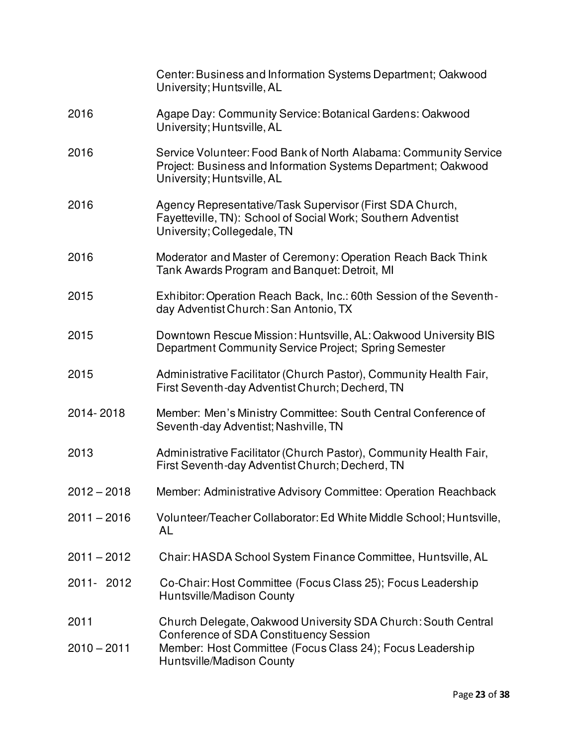|                       | Center: Business and Information Systems Department; Oakwood<br>University; Huntsville, AL                                                                                                        |
|-----------------------|---------------------------------------------------------------------------------------------------------------------------------------------------------------------------------------------------|
| 2016                  | Agape Day: Community Service: Botanical Gardens: Oakwood<br>University; Huntsville, AL                                                                                                            |
| 2016                  | Service Volunteer: Food Bank of North Alabama: Community Service<br>Project: Business and Information Systems Department; Oakwood<br>University; Huntsville, AL                                   |
| 2016                  | Agency Representative/Task Supervisor (First SDA Church,<br>Fayetteville, TN): School of Social Work; Southern Adventist<br>University; Collegedale, TN                                           |
| 2016                  | Moderator and Master of Ceremony: Operation Reach Back Think<br>Tank Awards Program and Banquet: Detroit, MI                                                                                      |
| 2015                  | Exhibitor: Operation Reach Back, Inc.: 60th Session of the Seventh-<br>day Adventist Church: San Antonio, TX                                                                                      |
| 2015                  | Downtown Rescue Mission: Huntsville, AL: Oakwood University BIS<br>Department Community Service Project; Spring Semester                                                                          |
| 2015                  | Administrative Facilitator (Church Pastor), Community Health Fair,<br>First Seventh-day Adventist Church; Decherd, TN                                                                             |
| 2014-2018             | Member: Men's Ministry Committee: South Central Conference of<br>Seventh-day Adventist; Nashville, TN                                                                                             |
| 2013                  | Administrative Facilitator (Church Pastor), Community Health Fair,<br>First Seventh-day Adventist Church; Decherd, TN                                                                             |
| $2012 - 2018$         | Member: Administrative Advisory Committee: Operation Reachback                                                                                                                                    |
| $2011 - 2016$         | Volunteer/Teacher Collaborator: Ed White Middle School; Huntsville,<br>AL                                                                                                                         |
| $2011 - 2012$         | Chair: HASDA School System Finance Committee, Huntsville, AL                                                                                                                                      |
| 2011-2012             | Co-Chair: Host Committee (Focus Class 25); Focus Leadership<br>Huntsville/Madison County                                                                                                          |
| 2011<br>$2010 - 2011$ | Church Delegate, Oakwood University SDA Church: South Central<br>Conference of SDA Constituency Session<br>Member: Host Committee (Focus Class 24); Focus Leadership<br>Huntsville/Madison County |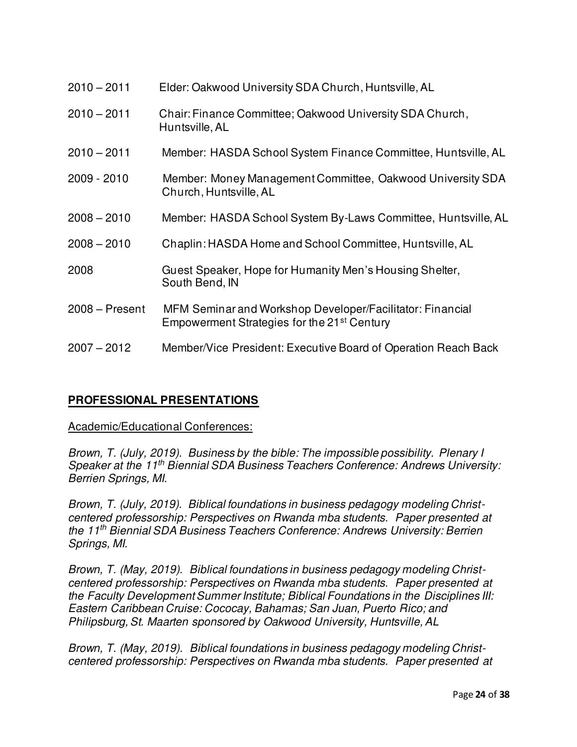| $2010 - 2011$    | Elder: Oakwood University SDA Church, Huntsville, AL                                                                 |
|------------------|----------------------------------------------------------------------------------------------------------------------|
| $2010 - 2011$    | Chair: Finance Committee; Oakwood University SDA Church,<br>Huntsville, AL                                           |
| $2010 - 2011$    | Member: HASDA School System Finance Committee, Huntsville, AL                                                        |
| 2009 - 2010      | Member: Money Management Committee, Oakwood University SDA<br>Church, Huntsville, AL                                 |
| $2008 - 2010$    | Member: HASDA School System By-Laws Committee, Huntsville, AL                                                        |
| $2008 - 2010$    | Chaplin: HASDA Home and School Committee, Huntsville, AL                                                             |
| 2008             | Guest Speaker, Hope for Humanity Men's Housing Shelter,<br>South Bend, IN                                            |
| $2008 - Present$ | MFM Seminar and Workshop Developer/Facilitator: Financial<br>Empowerment Strategies for the 21 <sup>st</sup> Century |
| $2007 - 2012$    | Member/Vice President: Executive Board of Operation Reach Back                                                       |

# **PROFESSIONAL PRESENTATIONS**

### Academic/Educational Conferences:

*Brown, T. (July, 2019). Business by the bible: The impossible possibility. Plenary I Speaker at the 11th Biennial SDA Business Teachers Conference: Andrews University: Berrien Springs, MI.* 

*Brown, T. (July, 2019). Biblical foundations in business pedagogy modeling Christcentered professorship: Perspectives on Rwanda mba students. Paper presented at the 11th Biennial SDA Business Teachers Conference: Andrews University: Berrien Springs, MI.* 

*Brown, T. (May, 2019). Biblical foundations in business pedagogy modeling Christcentered professorship: Perspectives on Rwanda mba students. Paper presented at the Faculty Development Summer Institute; Biblical Foundations in the Disciplines III: Eastern Caribbean Cruise: Cococay, Bahamas; San Juan, Puerto Rico; and Philipsburg, St. Maarten sponsored by Oakwood University, Huntsville, AL* 

*Brown, T. (May, 2019). Biblical foundations in business pedagogy modeling Christcentered professorship: Perspectives on Rwanda mba students. Paper presented at*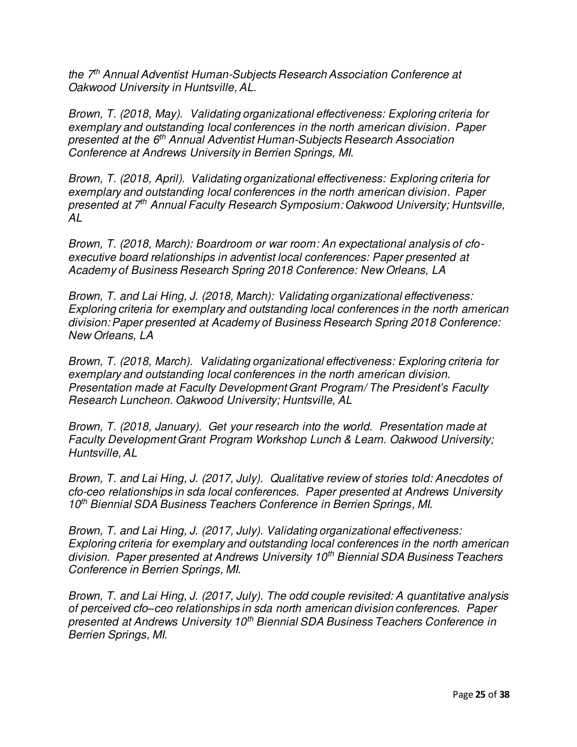*the 7th Annual Adventist Human-Subjects Research Association Conference at Oakwood University in Huntsville, AL.* 

*Brown, T. (2018, May). Validating organizational effectiveness: Exploring criteria for exemplary and outstanding local conferences in the north american division. Paper presented at the 6th Annual Adventist Human-Subjects Research Association Conference at Andrews University in Berrien Springs, MI.* 

*Brown, T. (2018, April). Validating organizational effectiveness: Exploring criteria for exemplary and outstanding local conferences in the north american division. Paper presented at 7th Annual Faculty Research Symposium: Oakwood University; Huntsville, AL* 

*Brown, T. (2018, March): Boardroom or war room: An expectational analysis of cfoexecutive board relationships in adventist local conferences: Paper presented at Academy of Business Research Spring 2018 Conference: New Orleans, LA* 

*Brown, T. and Lai Hing, J. (2018, March): Validating organizational effectiveness: Exploring criteria for exemplary and outstanding local conferences in the north american division: Paper presented at Academy of Business Research Spring 2018 Conference: New Orleans, LA* 

*Brown, T. (2018, March). Validating organizational effectiveness: Exploring criteria for exemplary and outstanding local conferences in the north american division. Presentation made at Faculty Development Grant Program/ The President's Faculty Research Luncheon. Oakwood University; Huntsville, AL* 

*Brown, T. (2018, January). Get your research into the world. Presentation made at Faculty Development Grant Program Workshop Lunch & Learn. Oakwood University; Huntsville, AL* 

*Brown, T. and Lai Hing, J. (2017, July). Qualitative review of stories told: Anecdotes of cfo-ceo relationships in sda local conferences. Paper presented at Andrews University 10th Biennial SDA Business Teachers Conference in Berrien Springs, MI.* 

*Brown, T. and Lai Hing, J. (2017, July). Validating organizational effectiveness: Exploring criteria for exemplary and outstanding local conferences in the north american division. Paper presented at Andrews University 10th Biennial SDA Business Teachers Conference in Berrien Springs, MI.* 

*Brown, T. and Lai Hing, J. (2017, July). The odd couple revisited: A quantitative analysis of perceived cfo–ceo relationships in sda north american division conferences. Paper presented at Andrews University 10th Biennial SDA Business Teachers Conference in Berrien Springs, MI.*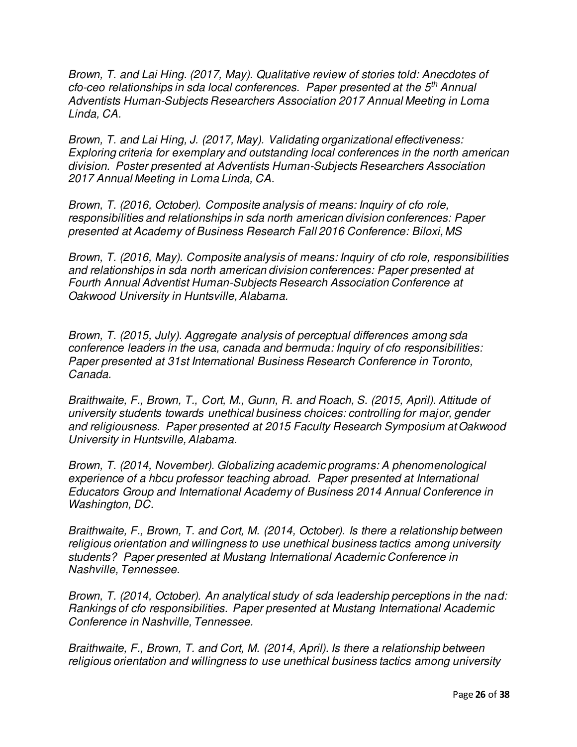*Brown, T. and Lai Hing. (2017, May). Qualitative review of stories told: Anecdotes of cfo-ceo relationships in sda local conferences. Paper presented at the 5th Annual Adventists Human-Subjects Researchers Association 2017 Annual Meeting in Loma Linda, CA.* 

*Brown, T. and Lai Hing, J. (2017, May). Validating organizational effectiveness: Exploring criteria for exemplary and outstanding local conferences in the north american division. Poster presented at Adventists Human-Subjects Researchers Association 2017 Annual Meeting in Loma Linda, CA.* 

*Brown, T. (2016, October). Composite analysis of means: Inquiry of cfo role, responsibilities and relationships in sda north american division conferences: Paper presented at Academy of Business Research Fall 2016 Conference: Biloxi, MS* 

*Brown, T. (2016, May). Composite analysis of means: Inquiry of cfo role, responsibilities and relationships in sda north american division conferences: Paper presented at Fourth Annual Adventist Human-Subjects Research Association Conference at Oakwood University in Huntsville, Alabama.* 

*Brown, T. (2015, July). Aggregate analysis of perceptual differences among sda conference leaders in the usa, canada and bermuda: Inquiry of cfo responsibilities: Paper presented at 31st International Business Research Conference in Toronto, Canada.* 

*Braithwaite, F., Brown, T., Cort, M., Gunn, R. and Roach, S. (2015, April). Attitude of university students towards unethical business choices: controlling for major, gender and religiousness. Paper presented at 2015 Faculty Research Symposium at Oakwood University in Huntsville, Alabama.* 

*Brown, T. (2014, November). Globalizing academic programs: A phenomenological experience of a hbcu professor teaching abroad. Paper presented at International Educators Group and International Academy of Business 2014 Annual Conference in Washington, DC.* 

*Braithwaite, F., Brown, T. and Cort, M. (2014, October). Is there a relationship between religious orientation and willingness to use unethical business tactics among university students? Paper presented at Mustang International Academic Conference in Nashville, Tennessee.* 

*Brown, T. (2014, October). An analytical study of sda leadership perceptions in the nad: Rankings of cfo responsibilities. Paper presented at Mustang International Academic Conference in Nashville, Tennessee.* 

*Braithwaite, F., Brown, T. and Cort, M. (2014, April). Is there a relationship between religious orientation and willingness to use unethical business tactics among university*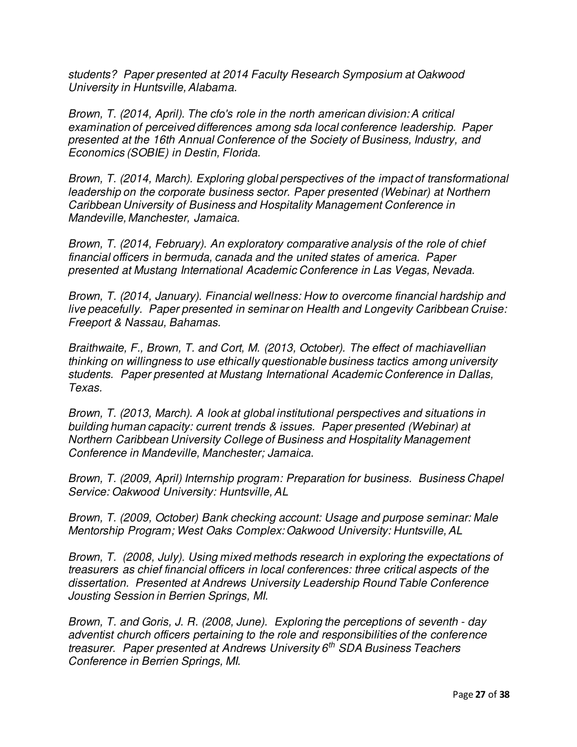*students? Paper presented at 2014 Faculty Research Symposium at Oakwood University in Huntsville, Alabama.* 

*Brown, T. (2014, April). The cfo's role in the north american division: A critical examination of perceived differences among sda local conference leadership. Paper presented at the 16th Annual Conference of the Society of Business, Industry, and Economics (SOBIE) in Destin, Florida.* 

*Brown, T. (2014, March). Exploring global perspectives of the impact of transformational leadership on the corporate business sector. Paper presented (Webinar) at Northern Caribbean University of Business and Hospitality Management Conference in Mandeville, Manchester, Jamaica.* 

*Brown, T. (2014, February). An exploratory comparative analysis of the role of chief financial officers in bermuda, canada and the united states of america. Paper presented at Mustang International Academic Conference in Las Vegas, Nevada.* 

*Brown, T. (2014, January). Financial wellness: How to overcome financial hardship and live peacefully. Paper presented in seminar on Health and Longevity Caribbean Cruise: Freeport & Nassau, Bahamas.* 

*Braithwaite, F., Brown, T. and Cort, M. (2013, October). The effect of machiavellian thinking on willingness to use ethically questionable business tactics among university students. Paper presented at Mustang International Academic Conference in Dallas, Texas.* 

*Brown, T. (2013, March). A look at global institutional perspectives and situations in building human capacity: current trends & issues. Paper presented (Webinar) at Northern Caribbean University College of Business and Hospitality Management Conference in Mandeville, Manchester; Jamaica.* 

*Brown, T. (2009, April) Internship program: Preparation for business. Business Chapel Service: Oakwood University: Huntsville, AL* 

*Brown, T. (2009, October) Bank checking account: Usage and purpose seminar: Male Mentorship Program; West Oaks Complex: Oakwood University: Huntsville, AL* 

*Brown, T. (2008, July). Using mixed methods research in exploring the expectations of treasurers as chief financial officers in local conferences: three critical aspects of the dissertation. Presented at Andrews University Leadership Round Table Conference Jousting Session in Berrien Springs, MI.* 

*Brown, T. and Goris, J. R. (2008, June). Exploring the perceptions of seventh - day adventist church officers pertaining to the role and responsibilities of the conference treasurer. Paper presented at Andrews University 6th SDA Business Teachers Conference in Berrien Springs, MI.*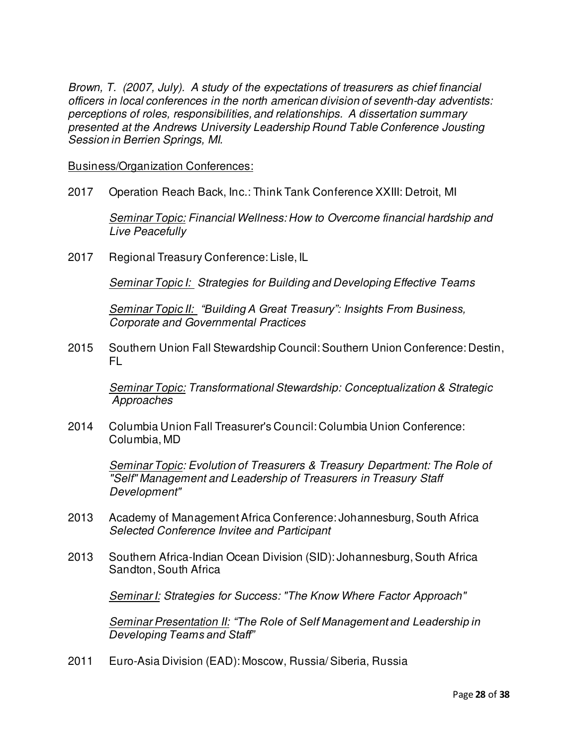*Brown, T. (2007, July). A study of the expectations of treasurers as chief financial officers in local conferences in the north american division of seventh-day adventists: perceptions of roles, responsibilities, and relationships. A dissertation summary presented at the Andrews University Leadership Round Table Conference Jousting Session in Berrien Springs, MI.* 

Business/Organization Conferences:

2017 Operation Reach Back, Inc.: Think Tank Conference XXIII: Detroit, MI

 *Seminar Topic: Financial Wellness: How to Overcome financial hardship and Live Peacefully* 

2017 Regional Treasury Conference: Lisle, IL

*Seminar Topic I: Strategies for Building and Developing Effective Teams*

 *Seminar Topic II: "Building A Great Treasury": Insights From Business, Corporate and Governmental Practices* 

2015 Southern Union Fall Stewardship Council: Southern Union Conference: Destin, FL

 *Seminar Topic: Transformational Stewardship: Conceptualization & Strategic Approaches* 

2014 Columbia Union Fall Treasurer's Council: Columbia Union Conference: Columbia, MD

> *Seminar Topic: Evolution of Treasurers & Treasury Department: The Role of "Self" Management and Leadership of Treasurers in Treasury Staff Development"*

- 2013 Academy of Management Africa Conference: Johannesburg, South Africa *Selected Conference Invitee and Participant*
- 2013 Southern Africa-Indian Ocean Division (SID): Johannesburg, South Africa Sandton, South Africa

 *Seminar I: Strategies for Success: "The Know Where Factor Approach"* 

 *Seminar Presentation II: "The Role of Self Management and Leadership in Developing Teams and Staff"*

2011 Euro-Asia Division (EAD): Moscow, Russia/ Siberia, Russia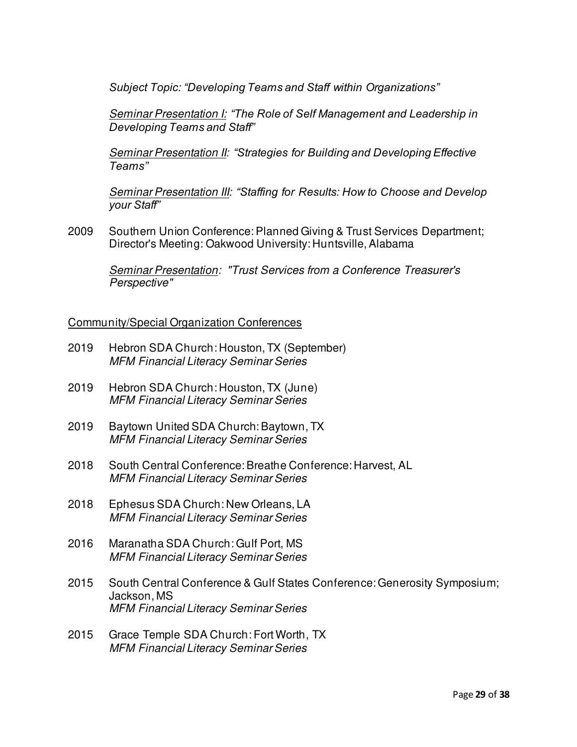*Subject Topic: "Developing Teams and Staff within Organizations"*

 *Seminar Presentation I: "The Role of Self Management and Leadership in Developing Teams and Staff"*

 *Seminar Presentation II: "Strategies for Building and Developing Effective Teams"*

 *Seminar Presentation III: "Staffing for Results: How to Choose and Develop your Staff"*

2009 Southern Union Conference: Planned Giving & Trust Services Department; Director's Meeting: Oakwood University: Huntsville, Alabama

 *Seminar Presentation: "Trust Services from a Conference Treasurer's Perspective"* 

#### Community/Special Organization Conferences

- 2019 Hebron SDA Church: Houston, TX (September) *MFM Financial Literacy Seminar Series*
- 2019 Hebron SDA Church: Houston, TX (June) *MFM Financial Literacy Seminar Series*
- 2019 Baytown United SDA Church: Baytown, TX *MFM Financial Literacy Seminar Series*
- 2018 South Central Conference: Breathe Conference: Harvest, AL *MFM Financial Literacy Seminar Series*
- 2018 Ephesus SDA Church: New Orleans, LA *MFM Financial Literacy Seminar Series*
- 2016 Maranatha SDA Church: Gulf Port, MS *MFM Financial Literacy Seminar Series*
- 2015 South Central Conference & Gulf States Conference: Generosity Symposium; Jackson, MS *MFM Financial Literacy Seminar Series*
- 2015 Grace Temple SDA Church: Fort Worth, TX *MFM Financial Literacy Seminar Series*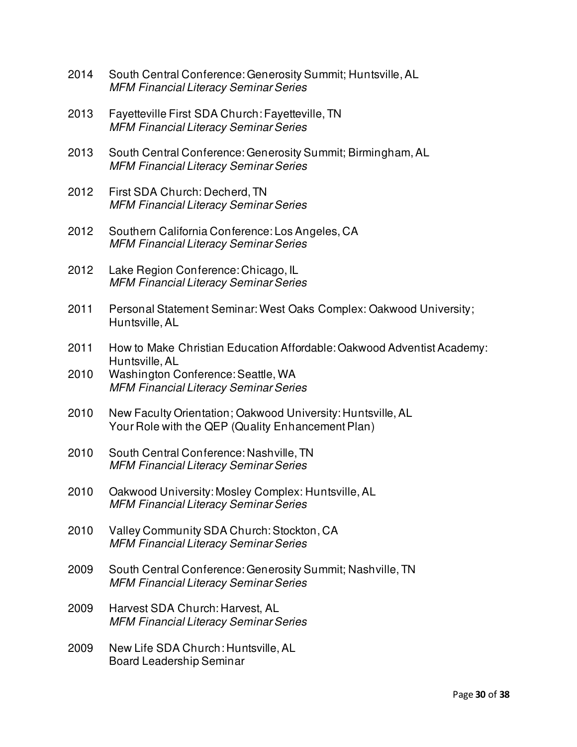- 2014 South Central Conference: Generosity Summit; Huntsville, AL *MFM Financial Literacy Seminar Series*
- 2013 Fayetteville First SDA Church: Fayetteville, TN *MFM Financial Literacy Seminar Series*
- 2013 South Central Conference: Generosity Summit; Birmingham, AL *MFM Financial Literacy Seminar Series*
- 2012 First SDA Church: Decherd, TN *MFM Financial Literacy Seminar Series*
- 2012 Southern California Conference: Los Angeles, CA *MFM Financial Literacy Seminar Series*
- 2012 Lake Region Conference: Chicago, IL *MFM Financial Literacy Seminar Series*
- 2011 Personal Statement Seminar: West Oaks Complex: Oakwood University; Huntsville, AL
- 2011 How to Make Christian Education Affordable: Oakwood Adventist Academy: Huntsville, AL
- Washington Conference: Seattle, WA *MFM Financial Literacy Seminar Series*
- 2010 New Faculty Orientation; Oakwood University: Huntsville, AL Your Role with the QEP (Quality Enhancement Plan)
- 2010 South Central Conference: Nashville, TN *MFM Financial Literacy Seminar Series*
- 2010 Oakwood University: Mosley Complex: Huntsville, AL *MFM Financial Literacy Seminar Series*
- 2010 Valley Community SDA Church: Stockton, CA *MFM Financial Literacy Seminar Series*
- 2009 South Central Conference: Generosity Summit; Nashville, TN *MFM Financial Literacy Seminar Series*
- 2009 Harvest SDA Church: Harvest, AL *MFM Financial Literacy Seminar Series*
- 2009 New Life SDA Church: Huntsville, AL Board Leadership Seminar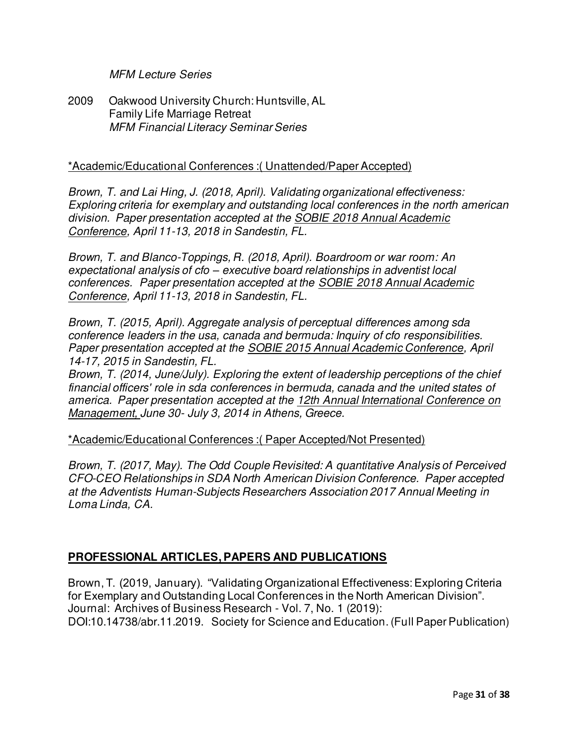### *MFM Lecture Series*

2009 Oakwood University Church: Huntsville, AL Family Life Marriage Retreat *MFM Financial Literacy Seminar Series* 

#### \*Academic/Educational Conferences :( Unattended/Paper Accepted)

*Brown, T. and Lai Hing, J. (2018, April). Validating organizational effectiveness: Exploring criteria for exemplary and outstanding local conferences in the north american division. Paper presentation accepted at the SOBIE 2018 Annual Academic Conference, April 11-13, 2018 in Sandestin, FL.* 

*Brown, T. and Blanco-Toppings, R. (2018, April). Boardroom or war room: An expectational analysis of cfo – executive board relationships in adventist local conferences. Paper presentation accepted at the SOBIE 2018 Annual Academic Conference, April 11-13, 2018 in Sandestin, FL.* 

*Brown, T. (2015, April). Aggregate analysis of perceptual differences among sda conference leaders in the usa, canada and bermuda: Inquiry of cfo responsibilities. Paper presentation accepted at the SOBIE 2015 Annual Academic Conference, April 14-17, 2015 in Sandestin, FL.* 

*Brown, T. (2014, June/July). Exploring the extent of leadership perceptions of the chief financial officers' role in sda conferences in bermuda, canada and the united states of america. Paper presentation accepted at the 12th Annual International Conference on Management, June 30- July 3, 2014 in Athens, Greece.* 

\*Academic/Educational Conferences :( Paper Accepted/Not Presented)

*Brown, T. (2017, May). The Odd Couple Revisited: A quantitative Analysis of Perceived CFO-CEO Relationships in SDA North American Division Conference. Paper accepted at the Adventists Human-Subjects Researchers Association 2017 Annual Meeting in Loma Linda, CA.* 

### **PROFESSIONAL ARTICLES, PAPERS AND PUBLICATIONS**

Brown, T. (2019, January). "Validating Organizational Effectiveness: Exploring Criteria for Exemplary and Outstanding Local Conferences in the North American Division". Journal: Archives of Business Research - Vol. 7, No. 1 (2019): DOI:10.14738/abr.11.2019. Society for Science and Education. (Full Paper Publication)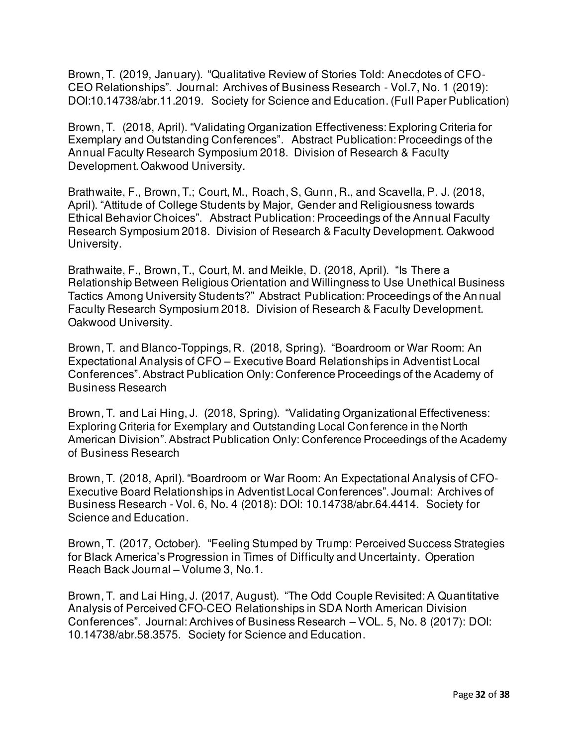Brown, T. (2019, January). "Qualitative Review of Stories Told: Anecdotes of CFO-CEO Relationships". Journal: Archives of Business Research - Vol.7, No. 1 (2019): DOI:10.14738/abr.11.2019. Society for Science and Education. (Full Paper Publication)

Brown, T. (2018, April). "Validating Organization Effectiveness: Exploring Criteria for Exemplary and Outstanding Conferences". Abstract Publication: Proceedings of the Annual Faculty Research Symposium 2018. Division of Research & Faculty Development. Oakwood University.

Brathwaite, F., Brown, T.; Court, M., Roach, S, Gunn, R., and Scavella, P. J. (2018, April). "Attitude of College Students by Major, Gender and Religiousness towards Ethical Behavior Choices". Abstract Publication: Proceedings of the Annual Faculty Research Symposium 2018. Division of Research & Faculty Development. Oakwood University.

Brathwaite, F., Brown, T., Court, M. and Meikle, D. (2018, April). "Is There a Relationship Between Religious Orientation and Willingness to Use Unethical Business Tactics Among University Students?" Abstract Publication: Proceedings of the An nual Faculty Research Symposium 2018. Division of Research & Faculty Development. Oakwood University.

Brown, T. and Blanco-Toppings, R. (2018, Spring). "Boardroom or War Room: An Expectational Analysis of CFO – Executive Board Relationships in Adventist Local Conferences". Abstract Publication Only: Conference Proceedings of the Academy of Business Research

Brown, T. and Lai Hing, J. (2018, Spring). "Validating Organizational Effectiveness: Exploring Criteria for Exemplary and Outstanding Local Conference in the North American Division". Abstract Publication Only: Conference Proceedings of the Academy of Business Research

Brown, T. (2018, April). "Boardroom or War Room: An Expectational Analysis of CFO-Executive Board Relationships in Adventist Local Conferences". Journal: Archives of Business Research - Vol. 6, No. 4 (2018): DOI: 10.14738/abr.64.4414. Society for Science and Education.

Brown, T. (2017, October). "Feeling Stumped by Trump: Perceived Success Strategies for Black America's Progression in Times of Difficulty and Uncertainty. Operation Reach Back Journal – Volume 3, No.1.

Brown, T. and Lai Hing, J. (2017, August). "The Odd Couple Revisited: A Quantitative Analysis of Perceived CFO-CEO Relationships in SDA North American Division Conferences". Journal: Archives of Business Research – VOL. 5, No. 8 (2017): DOI: 10.14738/abr.58.3575. Society for Science and Education.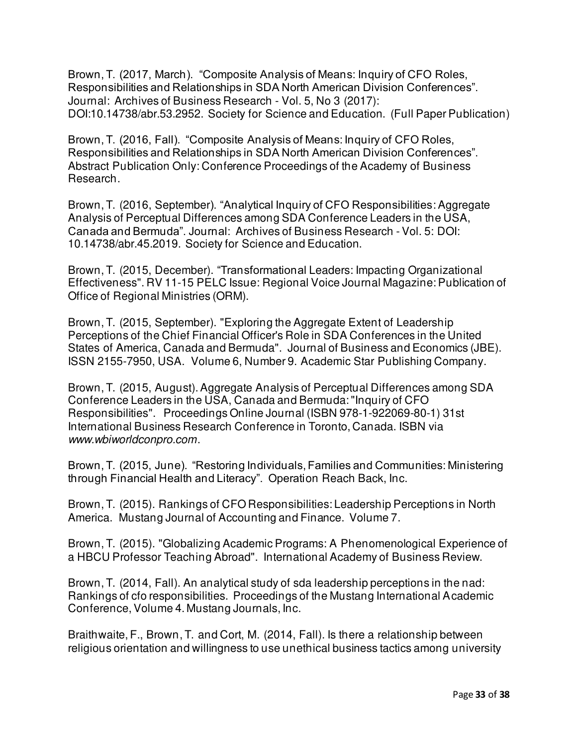Brown, T. (2017, March). "Composite Analysis of Means: Inquiry of CFO Roles, Responsibilities and Relationships in SDA North American Division Conferences". Journal: Archives of Business Research - Vol. 5, No 3 (2017): DOI:10.14738/abr.53.2952. Society for Science and Education. (Full Paper Publication)

Brown, T. (2016, Fall). "Composite Analysis of Means: Inquiry of CFO Roles, Responsibilities and Relationships in SDA North American Division Conferences". Abstract Publication Only: Conference Proceedings of the Academy of Business Research.

Brown, T. (2016, September). "Analytical Inquiry of CFO Responsibilities: Aggregate Analysis of Perceptual Differences among SDA Conference Leaders in the USA, Canada and Bermuda". Journal: Archives of Business Research - Vol. 5: DOI: 10.14738/abr.45.2019. Society for Science and Education.

Brown, T. (2015, December). "Transformational Leaders: Impacting Organizational Effectiveness". RV 11-15 PELC Issue: Regional Voice Journal Magazine: Publication of Office of Regional Ministries (ORM).

Brown, T. (2015, September). "Exploring the Aggregate Extent of Leadership Perceptions of the Chief Financial Officer's Role in SDA Conferences in the United States of America, Canada and Bermuda". Journal of Business and Economics (JBE). ISSN 2155-7950, USA. Volume 6, Number 9. Academic Star Publishing Company.

Brown, T. (2015, August). Aggregate Analysis of Perceptual Differences among SDA Conference Leaders in the USA, Canada and Bermuda: "Inquiry of CFO Responsibilities". Proceedings Online Journal (ISBN 978-1-922069-80-1) 31st International Business Research Conference in Toronto, Canada. ISBN via *www.wbiworldconpro.com*.

Brown, T. (2015, June). "Restoring Individuals, Families and Communities: Ministering through Financial Health and Literacy". Operation Reach Back, Inc.

Brown, T. (2015). Rankings of CFO Responsibilities: Leadership Perceptions in North America. Mustang Journal of Accounting and Finance. Volume 7.

Brown, T. (2015). "Globalizing Academic Programs: A Phenomenological Experience of a HBCU Professor Teaching Abroad". International Academy of Business Review.

Brown, T. (2014, Fall). An analytical study of sda leadership perceptions in the nad: Rankings of cfo responsibilities. Proceedings of the Mustang International Academic Conference, Volume 4. Mustang Journals, Inc.

Braithwaite, F., Brown, T. and Cort, M. (2014, Fall). Is there a relationship between religious orientation and willingness to use unethical business tactics among university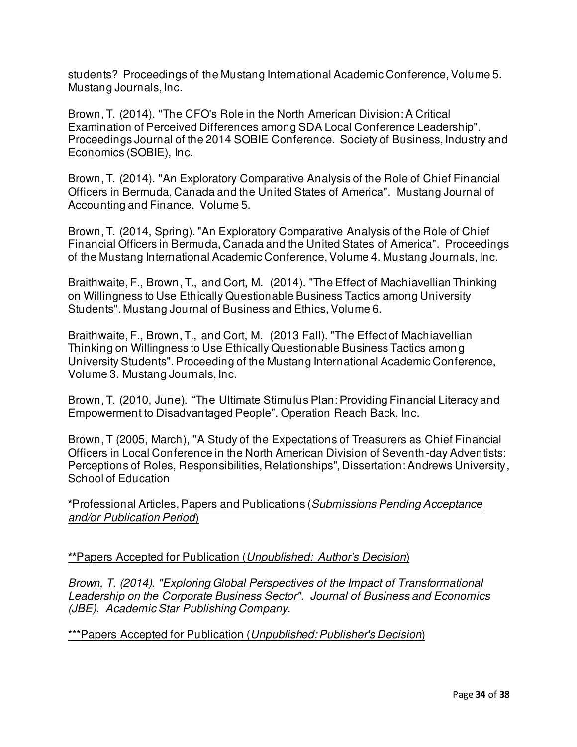students? Proceedings of the Mustang International Academic Conference, Volume 5. Mustang Journals, Inc.

Brown, T. (2014). "The CFO's Role in the North American Division: A Critical Examination of Perceived Differences among SDA Local Conference Leadership". Proceedings Journal of the 2014 SOBIE Conference. Society of Business, Industry and Economics (SOBIE), Inc.

Brown, T. (2014). "An Exploratory Comparative Analysis of the Role of Chief Financial Officers in Bermuda, Canada and the United States of America". Mustang Journal of Accounting and Finance. Volume 5.

Brown, T. (2014, Spring). "An Exploratory Comparative Analysis of the Role of Chief Financial Officers in Bermuda, Canada and the United States of America". Proceedings of the Mustang International Academic Conference, Volume 4. Mustang Journals, Inc.

Braithwaite, F., Brown, T., and Cort, M. (2014). "The Effect of Machiavellian Thinking on Willingness to Use Ethically Questionable Business Tactics among University Students". Mustang Journal of Business and Ethics, Volume 6.

Braithwaite, F., Brown, T., and Cort, M. (2013 Fall). "The Effect of Machiavellian Thinking on Willingness to Use Ethically Questionable Business Tactics amon g University Students". Proceeding of the Mustang International Academic Conference, Volume 3. Mustang Journals, Inc.

Brown, T. (2010, June). "The Ultimate Stimulus Plan: Providing Financial Literacy and Empowerment to Disadvantaged People". Operation Reach Back, Inc.

Brown, T (2005, March), "A Study of the Expectations of Treasurers as Chief Financial Officers in Local Conference in the North American Division of Seventh -day Adventists: Perceptions of Roles, Responsibilities, Relationships", Dissertation: Andrews University, School of Education

**\***Professional Articles, Papers and Publications (*Submissions Pending Acceptance and/or Publication Period*)

# **\*\***Papers Accepted for Publication (*Unpublished: Author's Decision*)

*Brown, T. (2014). "Exploring Global Perspectives of the Impact of Transformational Leadership on the Corporate Business Sector". Journal of Business and Economics (JBE). Academic Star Publishing Company.* 

\*\*\*Papers Accepted for Publication (*Unpublished: Publisher's Decision*)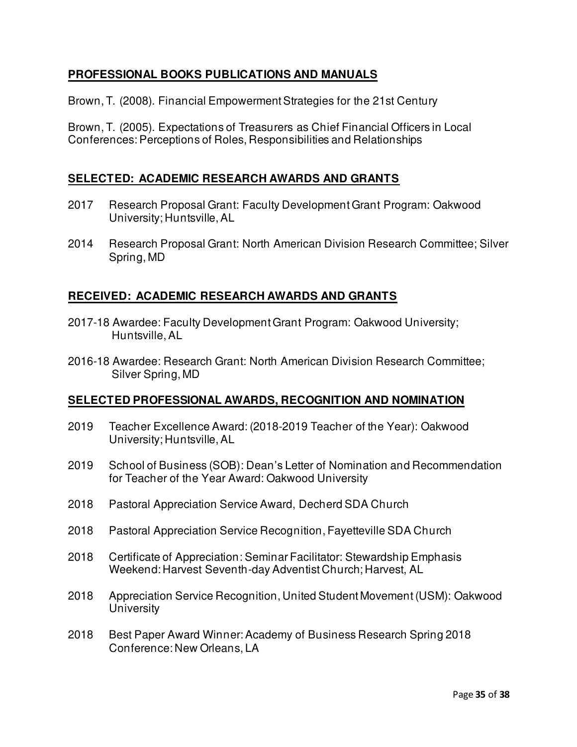# **PROFESSIONAL BOOKS PUBLICATIONS AND MANUALS**

Brown, T. (2008). Financial Empowerment Strategies for the 21st Century

Brown, T. (2005). Expectations of Treasurers as Chief Financial Officers in Local Conferences: Perceptions of Roles, Responsibilities and Relationships

# **SELECTED: ACADEMIC RESEARCH AWARDS AND GRANTS**

- 2017 Research Proposal Grant: Faculty Development Grant Program: Oakwood University; Huntsville, AL
- 2014 Research Proposal Grant: North American Division Research Committee; Silver Spring, MD

### **RECEIVED: ACADEMIC RESEARCH AWARDS AND GRANTS**

- 2017-18 Awardee: Faculty Development Grant Program: Oakwood University; Huntsville, AL
- 2016-18 Awardee: Research Grant: North American Division Research Committee; Silver Spring, MD

### **SELECTED PROFESSIONAL AWARDS, RECOGNITION AND NOMINATION**

- 2019 Teacher Excellence Award: (2018-2019 Teacher of the Year): Oakwood University; Huntsville, AL
- 2019 School of Business (SOB): Dean's Letter of Nomination and Recommendation for Teacher of the Year Award: Oakwood University
- 2018 Pastoral Appreciation Service Award, Decherd SDA Church
- 2018 Pastoral Appreciation Service Recognition, Fayetteville SDA Church
- 2018 Certificate of Appreciation: Seminar Facilitator: Stewardship Emphasis Weekend: Harvest Seventh-day Adventist Church; Harvest, AL
- 2018 Appreciation Service Recognition, United Student Movement (USM): Oakwood **University**
- 2018 Best Paper Award Winner: Academy of Business Research Spring 2018 Conference: New Orleans, LA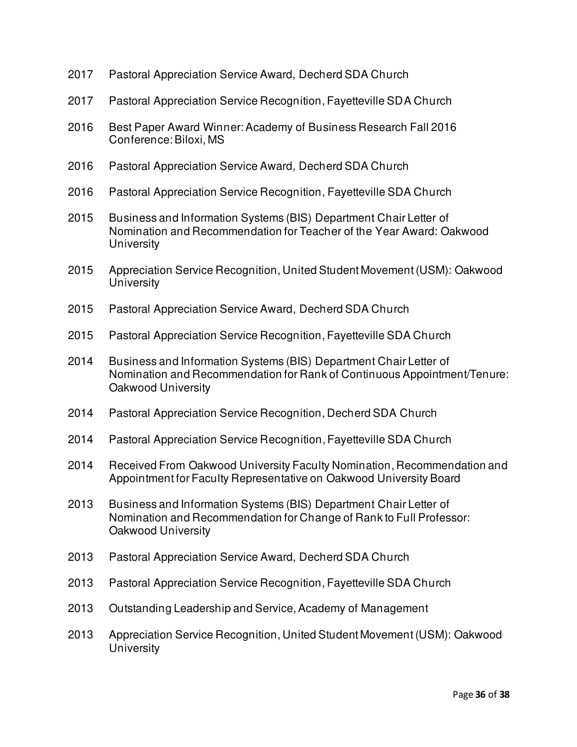- 2017 Pastoral Appreciation Service Award, Decherd SDA Church
- 2017 Pastoral Appreciation Service Recognition, Fayetteville SDA Church
- 2016 Best Paper Award Winner: Academy of Business Research Fall 2016 Conference: Biloxi, MS
- 2016 Pastoral Appreciation Service Award, Decherd SDA Church
- 2016 Pastoral Appreciation Service Recognition, Fayetteville SDA Church
- 2015 Business and Information Systems (BIS) Department Chair Letter of Nomination and Recommendation for Teacher of the Year Award: Oakwood **University**
- 2015 Appreciation Service Recognition, United Student Movement (USM): Oakwood **University**
- 2015 Pastoral Appreciation Service Award, Decherd SDA Church
- 2015 Pastoral Appreciation Service Recognition, Fayetteville SDA Church
- 2014 Business and Information Systems (BIS) Department Chair Letter of Nomination and Recommendation for Rank of Continuous Appointment/Tenure: Oakwood University
- 2014 Pastoral Appreciation Service Recognition, Decherd SDA Church
- 2014 Pastoral Appreciation Service Recognition, Fayetteville SDA Church
- 2014 Received From Oakwood University Faculty Nomination, Recommendation and Appointment for Faculty Representative on Oakwood University Board
- 2013 Business and Information Systems (BIS) Department Chair Letter of Nomination and Recommendation for Change of Rank to Full Professor: Oakwood University
- 2013 Pastoral Appreciation Service Award, Decherd SDA Church
- 2013 Pastoral Appreciation Service Recognition, Fayetteville SDA Church
- 2013 Outstanding Leadership and Service, Academy of Management
- 2013 Appreciation Service Recognition, United Student Movement (USM): Oakwood **University**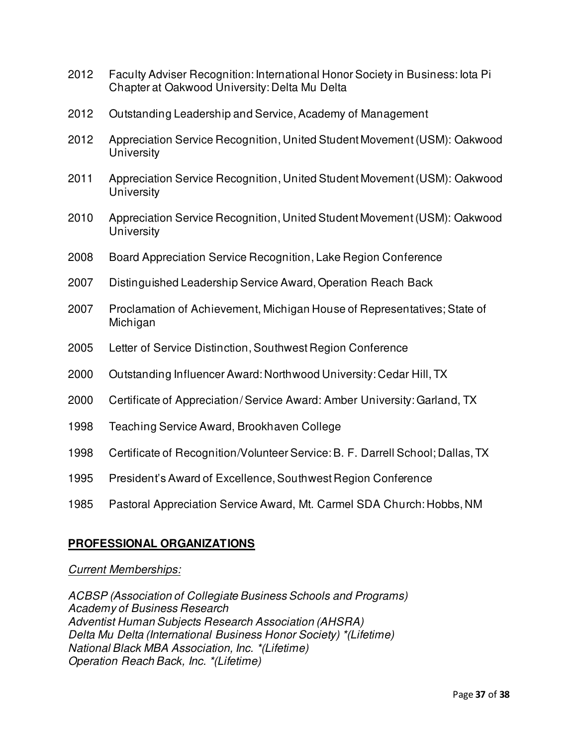- 2012 Faculty Adviser Recognition: International Honor Society in Business: Iota Pi Chapter at Oakwood University: Delta Mu Delta
- 2012 Outstanding Leadership and Service, Academy of Management
- 2012 Appreciation Service Recognition, United Student Movement (USM): Oakwood **University**
- 2011 Appreciation Service Recognition, United Student Movement (USM): Oakwood **University**
- 2010 Appreciation Service Recognition, United Student Movement (USM): Oakwood **University**
- 2008 Board Appreciation Service Recognition, Lake Region Conference
- 2007 Distinguished Leadership Service Award, Operation Reach Back
- 2007 Proclamation of Achievement, Michigan House of Representatives; State of Michigan
- 2005 Letter of Service Distinction, Southwest Region Conference
- 2000 Outstanding Influencer Award: Northwood University: Cedar Hill, TX
- 2000 Certificate of Appreciation/ Service Award: Amber University: Garland, TX
- 1998 Teaching Service Award, Brookhaven College
- 1998 Certificate of Recognition/Volunteer Service: B. F. Darrell School; Dallas, TX
- 1995 President's Award of Excellence, Southwest Region Conference
- 1985 Pastoral Appreciation Service Award, Mt. Carmel SDA Church: Hobbs, NM

# **PROFESSIONAL ORGANIZATIONS**

### *Current Memberships:*

*ACBSP (Association of Collegiate Business Schools and Programs) Academy of Business Research Adventist Human Subjects Research Association (AHSRA) Delta Mu Delta (International Business Honor Society) \*(Lifetime) National Black MBA Association, Inc. \*(Lifetime) Operation Reach Back, Inc. \*(Lifetime)*